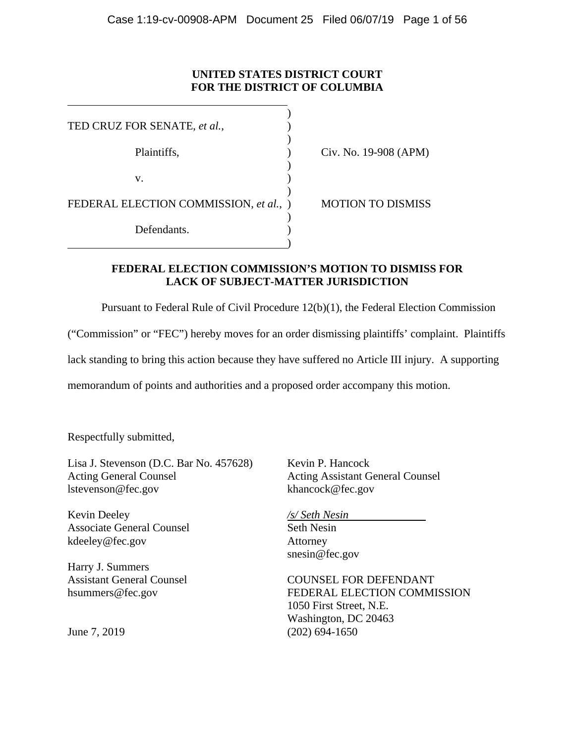# **UNITED STATES DISTRICT COURT FOR THE DISTRICT OF COLUMBIA**

| TED CRUZ FOR SENATE, et al.,           |                          |
|----------------------------------------|--------------------------|
| Plaintiffs,                            | Civ. No. 19-908 (APM)    |
| v.                                     |                          |
| FEDERAL ELECTION COMMISSION, et al., ) | <b>MOTION TO DISMISS</b> |
| Defendants.                            |                          |

**FEDERAL ELECTION COMMISSION'S MOTION TO DISMISS FOR LACK OF SUBJECT-MATTER JURISDICTION** 

Pursuant to Federal Rule of Civil Procedure 12(b)(1), the Federal Election Commission

("Commission" or "FEC") hereby moves for an order dismissing plaintiffs' complaint. Plaintiffs

lack standing to bring this action because they have suffered no Article III injury. A supporting

memorandum of points and authorities and a proposed order accompany this motion.

Respectfully submitted,

 $\overline{a}$ 

Lisa J. Stevenson (D.C. Bar No. 457628) Acting General Counsel lstevenson@fec.gov

Kevin Deeley Associate General Counsel kdeeley@fec.gov

Harry J. Summers Assistant General Counsel hsummers@fec.gov

June 7, 2019

Kevin P. Hancock Acting Assistant General Counsel khancock@fec.gov

*/s/ Seth Nesin* Seth Nesin Attorney snesin@fec.gov

COUNSEL FOR DEFENDANT FEDERAL ELECTION COMMISSION 1050 First Street, N.E. Washington, DC 20463 (202) 694-1650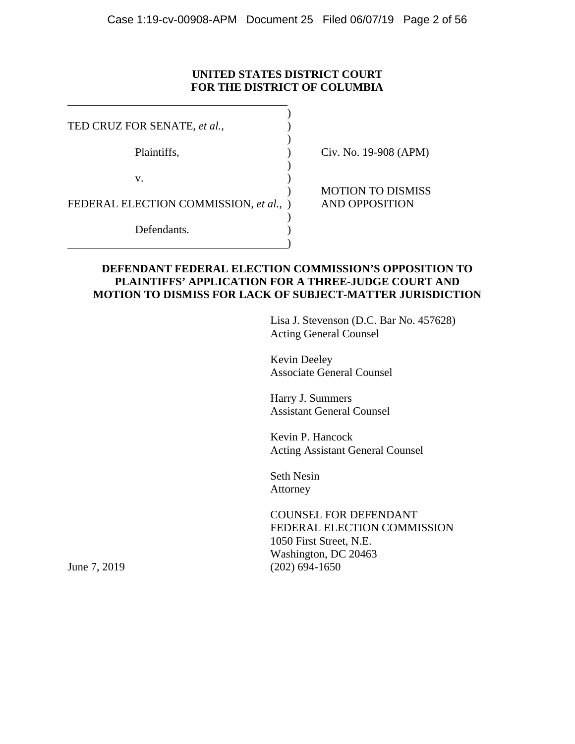# **UNITED STATES DISTRICT COURT FOR THE DISTRICT OF COLUMBIA**

| TED CRUZ FOR SENATE, et al.,           |                                                   |
|----------------------------------------|---------------------------------------------------|
| Plaintiffs,                            | Civ. No. 19-908 (APM)                             |
| v.                                     |                                                   |
| FEDERAL ELECTION COMMISSION, et al., ) | <b>MOTION TO DISMISS</b><br><b>AND OPPOSITION</b> |
| Defendants.                            |                                                   |
|                                        |                                                   |

## **DEFENDANT FEDERAL ELECTION COMMISSION'S OPPOSITION TO PLAINTIFFS' APPLICATION FOR A THREE-JUDGE COURT AND MOTION TO DISMISS FOR LACK OF SUBJECT-MATTER JURISDICTION**

Lisa J. Stevenson (D.C. Bar No. 457628) Acting General Counsel

Kevin Deeley Associate General Counsel

Harry J. Summers Assistant General Counsel

Kevin P. Hancock Acting Assistant General Counsel

Seth Nesin Attorney

COUNSEL FOR DEFENDANT FEDERAL ELECTION COMMISSION 1050 First Street, N.E. Washington, DC 20463 June 7, 2019 (202) 694-1650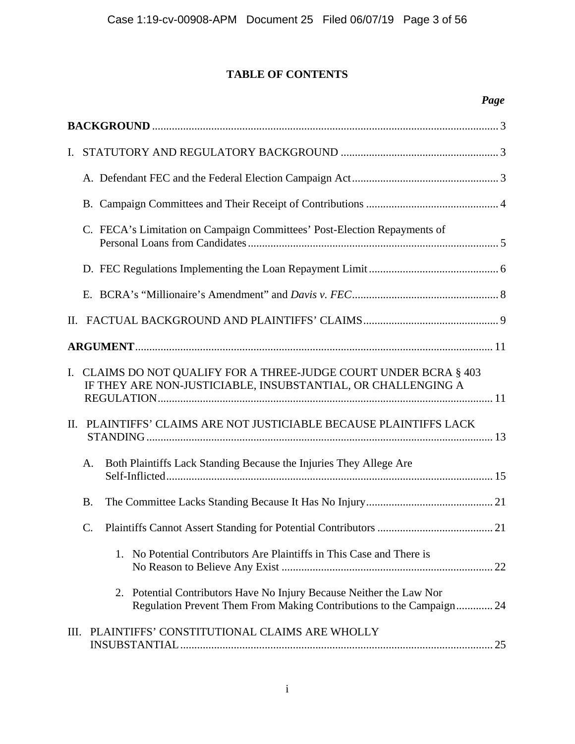# **TABLE OF CONTENTS**

# *Page*

| I. |                                                                                                                                              |  |
|----|----------------------------------------------------------------------------------------------------------------------------------------------|--|
|    |                                                                                                                                              |  |
|    |                                                                                                                                              |  |
|    | C. FECA's Limitation on Campaign Committees' Post-Election Repayments of                                                                     |  |
|    |                                                                                                                                              |  |
|    |                                                                                                                                              |  |
|    |                                                                                                                                              |  |
|    |                                                                                                                                              |  |
|    | I. CLAIMS DO NOT QUALIFY FOR A THREE-JUDGE COURT UNDER BCRA § 403<br>IF THEY ARE NON-JUSTICIABLE, INSUBSTANTIAL, OR CHALLENGING A            |  |
|    | II. PLAINTIFFS' CLAIMS ARE NOT JUSTICIABLE BECAUSE PLAINTIFFS LACK                                                                           |  |
|    | Both Plaintiffs Lack Standing Because the Injuries They Allege Are<br>A.                                                                     |  |
|    | <b>B.</b>                                                                                                                                    |  |
|    | $\mathcal{C}$ .                                                                                                                              |  |
|    | 1. No Potential Contributors Are Plaintiffs in This Case and There is                                                                        |  |
|    | 2. Potential Contributors Have No Injury Because Neither the Law Nor<br>Regulation Prevent Them From Making Contributions to the Campaign 24 |  |
|    | III. PLAINTIFFS' CONSTITUTIONAL CLAIMS ARE WHOLLY                                                                                            |  |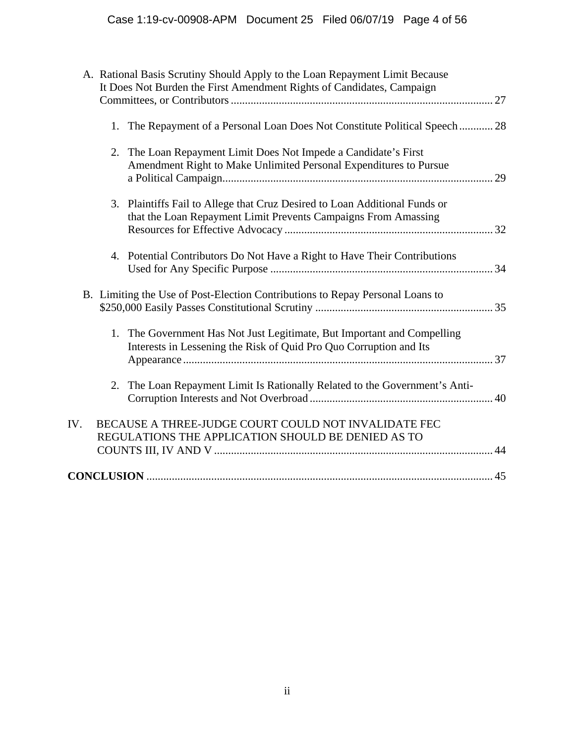|     | A. Rational Basis Scrutiny Should Apply to the Loan Repayment Limit Because                                                                   |
|-----|-----------------------------------------------------------------------------------------------------------------------------------------------|
|     | It Does Not Burden the First Amendment Rights of Candidates, Campaign                                                                         |
|     | 1. The Repayment of a Personal Loan Does Not Constitute Political Speech 28                                                                   |
|     | 2. The Loan Repayment Limit Does Not Impede a Candidate's First<br>Amendment Right to Make Unlimited Personal Expenditures to Pursue          |
|     | 3. Plaintiffs Fail to Allege that Cruz Desired to Loan Additional Funds or<br>that the Loan Repayment Limit Prevents Campaigns From Amassing  |
|     | 4. Potential Contributors Do Not Have a Right to Have Their Contributions                                                                     |
|     | B. Limiting the Use of Post-Election Contributions to Repay Personal Loans to                                                                 |
|     | 1. The Government Has Not Just Legitimate, But Important and Compelling<br>Interests in Lessening the Risk of Quid Pro Quo Corruption and Its |
| 2.  | The Loan Repayment Limit Is Rationally Related to the Government's Anti-                                                                      |
| IV. | BECAUSE A THREE-JUDGE COURT COULD NOT INVALIDATE FEC<br>REGULATIONS THE APPLICATION SHOULD BE DENIED AS TO                                    |
|     |                                                                                                                                               |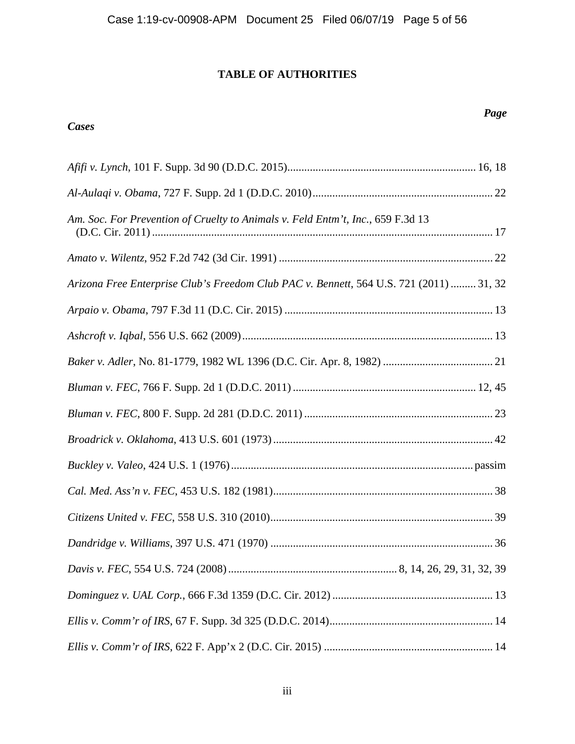# **TABLE OF AUTHORITIES**

# *Cases*

# *Page*

| Am. Soc. For Prevention of Cruelty to Animals v. Feld Entm't, Inc., 659 F.3d 13         |  |
|-----------------------------------------------------------------------------------------|--|
|                                                                                         |  |
| Arizona Free Enterprise Club's Freedom Club PAC v. Bennett, 564 U.S. 721 (2011)  31, 32 |  |
|                                                                                         |  |
|                                                                                         |  |
|                                                                                         |  |
|                                                                                         |  |
|                                                                                         |  |
|                                                                                         |  |
|                                                                                         |  |
|                                                                                         |  |
|                                                                                         |  |
|                                                                                         |  |
|                                                                                         |  |
|                                                                                         |  |
|                                                                                         |  |
|                                                                                         |  |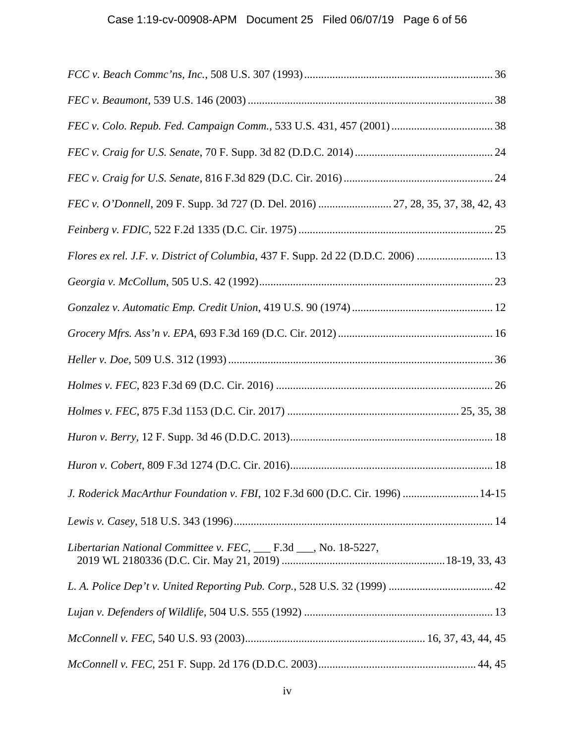| FEC v. O'Donnell, 209 F. Supp. 3d 727 (D. Del. 2016)  27, 28, 35, 37, 38, 42, 43  |
|-----------------------------------------------------------------------------------|
|                                                                                   |
| Flores ex rel. J.F. v. District of Columbia, 437 F. Supp. 2d 22 (D.D.C. 2006)  13 |
|                                                                                   |
|                                                                                   |
|                                                                                   |
|                                                                                   |
|                                                                                   |
|                                                                                   |
|                                                                                   |
|                                                                                   |
| J. Roderick MacArthur Foundation v. FBI, 102 F.3d 600 (D.C. Cir. 1996)  14-15     |
|                                                                                   |
| Libertarian National Committee v. FEC, ___ F.3d ___, No. 18-5227,                 |
|                                                                                   |
|                                                                                   |
|                                                                                   |
|                                                                                   |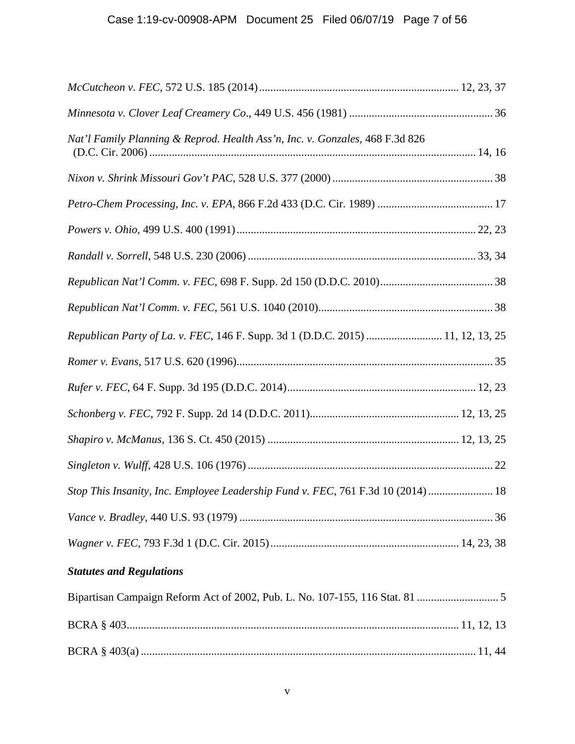| Nat'l Family Planning & Reprod. Health Ass'n, Inc. v. Gonzales, 468 F.3d 826     |  |
|----------------------------------------------------------------------------------|--|
|                                                                                  |  |
|                                                                                  |  |
|                                                                                  |  |
|                                                                                  |  |
|                                                                                  |  |
|                                                                                  |  |
| Republican Party of La. v. FEC, 146 F. Supp. 3d 1 (D.D.C. 2015)  11, 12, 13, 25  |  |
|                                                                                  |  |
|                                                                                  |  |
|                                                                                  |  |
|                                                                                  |  |
|                                                                                  |  |
| Stop This Insanity, Inc. Employee Leadership Fund v. FEC, 761 F.3d 10 (2014)  18 |  |
|                                                                                  |  |
|                                                                                  |  |
| <b>Statutes and Regulations</b>                                                  |  |
|                                                                                  |  |
|                                                                                  |  |
|                                                                                  |  |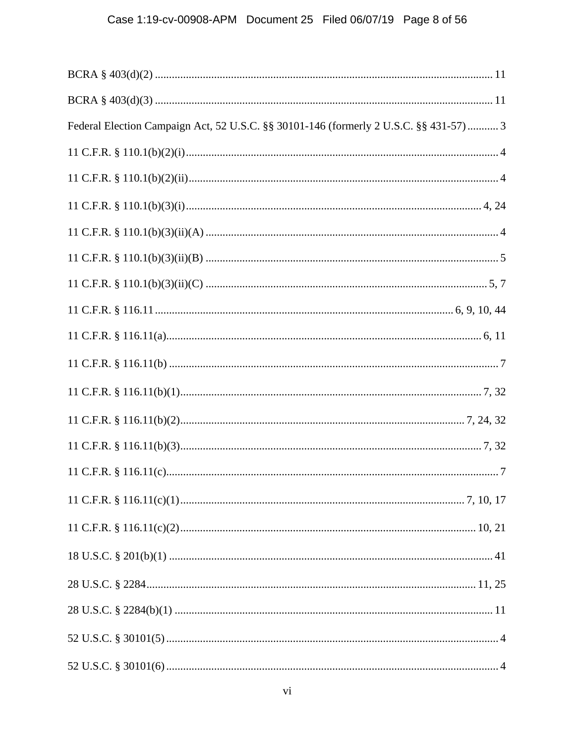| Federal Election Campaign Act, 52 U.S.C. §§ 30101-146 (formerly 2 U.S.C. §§ 431-57)  3 |
|----------------------------------------------------------------------------------------|
|                                                                                        |
|                                                                                        |
|                                                                                        |
|                                                                                        |
|                                                                                        |
|                                                                                        |
|                                                                                        |
|                                                                                        |
|                                                                                        |
|                                                                                        |
|                                                                                        |
|                                                                                        |
|                                                                                        |
|                                                                                        |
|                                                                                        |
|                                                                                        |
|                                                                                        |
|                                                                                        |
|                                                                                        |
|                                                                                        |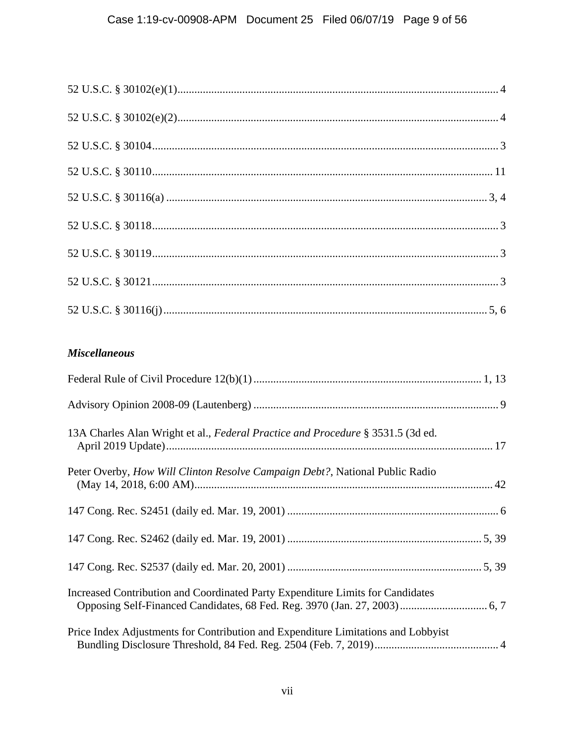# **Miscellaneous**

| 13A Charles Alan Wright et al., Federal Practice and Procedure § 3531.5 (3d ed.   |  |
|-----------------------------------------------------------------------------------|--|
| Peter Overby, How Will Clinton Resolve Campaign Debt?, National Public Radio      |  |
|                                                                                   |  |
|                                                                                   |  |
|                                                                                   |  |
| Increased Contribution and Coordinated Party Expenditure Limits for Candidates    |  |
| Price Index Adjustments for Contribution and Expenditure Limitations and Lobbyist |  |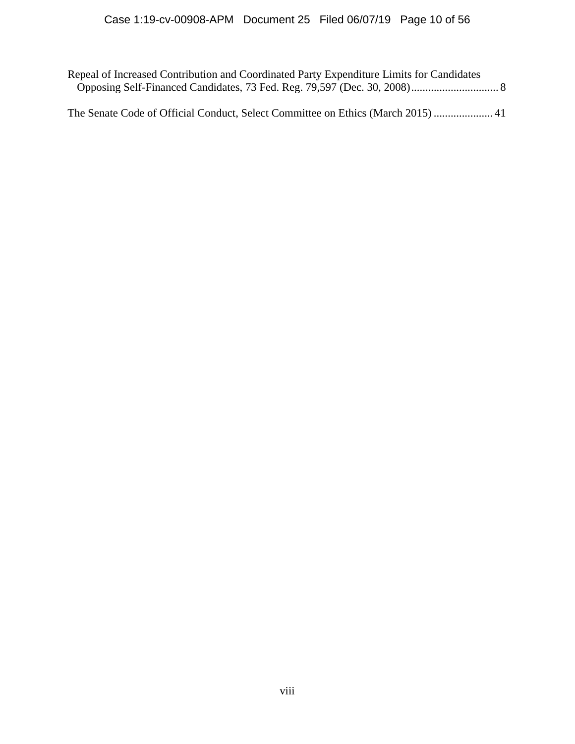Repeal of Increased Contribution and Coordinated Party Expenditure Limits for Candidates Opposing Self-Financed Candidates, 73 Fed. Reg. 79,597 (Dec. 30, 2008) ............................... 8

The Senate Code of Official Conduct, Select Committee on Ethics (March 2015) ..................... 41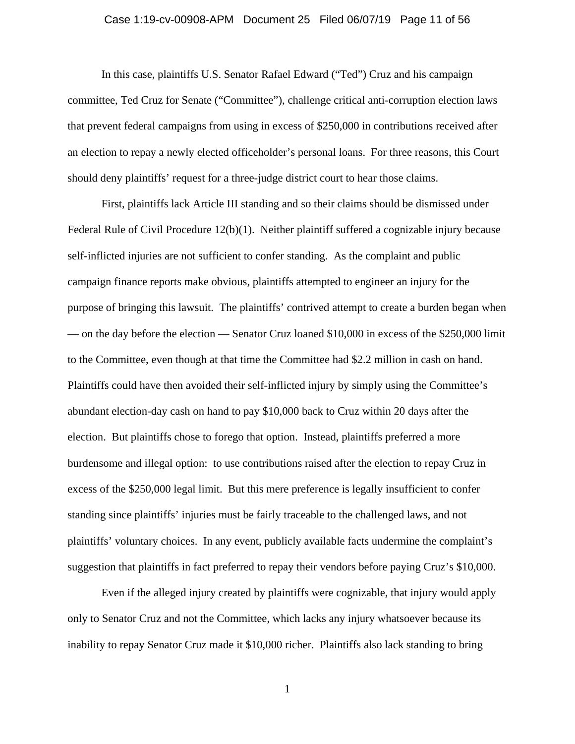### Case 1:19-cv-00908-APM Document 25 Filed 06/07/19 Page 11 of 56

In this case, plaintiffs U.S. Senator Rafael Edward ("Ted") Cruz and his campaign committee, Ted Cruz for Senate ("Committee"), challenge critical anti-corruption election laws that prevent federal campaigns from using in excess of \$250,000 in contributions received after an election to repay a newly elected officeholder's personal loans. For three reasons, this Court should deny plaintiffs' request for a three-judge district court to hear those claims.

First, plaintiffs lack Article III standing and so their claims should be dismissed under Federal Rule of Civil Procedure 12(b)(1). Neither plaintiff suffered a cognizable injury because self-inflicted injuries are not sufficient to confer standing. As the complaint and public campaign finance reports make obvious, plaintiffs attempted to engineer an injury for the purpose of bringing this lawsuit. The plaintiffs' contrived attempt to create a burden began when — on the day before the election — Senator Cruz loaned \$10,000 in excess of the \$250,000 limit to the Committee, even though at that time the Committee had \$2.2 million in cash on hand. Plaintiffs could have then avoided their self-inflicted injury by simply using the Committee's abundant election-day cash on hand to pay \$10,000 back to Cruz within 20 days after the election. But plaintiffs chose to forego that option. Instead, plaintiffs preferred a more burdensome and illegal option: to use contributions raised after the election to repay Cruz in excess of the \$250,000 legal limit. But this mere preference is legally insufficient to confer standing since plaintiffs' injuries must be fairly traceable to the challenged laws, and not plaintiffs' voluntary choices. In any event, publicly available facts undermine the complaint's suggestion that plaintiffs in fact preferred to repay their vendors before paying Cruz's \$10,000.

Even if the alleged injury created by plaintiffs were cognizable, that injury would apply only to Senator Cruz and not the Committee, which lacks any injury whatsoever because its inability to repay Senator Cruz made it \$10,000 richer. Plaintiffs also lack standing to bring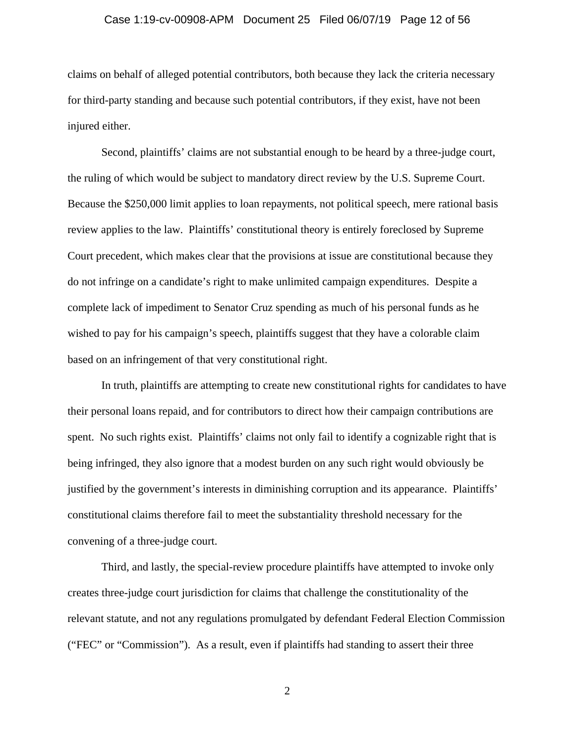#### Case 1:19-cv-00908-APM Document 25 Filed 06/07/19 Page 12 of 56

claims on behalf of alleged potential contributors, both because they lack the criteria necessary for third-party standing and because such potential contributors, if they exist, have not been injured either.

Second, plaintiffs' claims are not substantial enough to be heard by a three-judge court, the ruling of which would be subject to mandatory direct review by the U.S. Supreme Court. Because the \$250,000 limit applies to loan repayments, not political speech, mere rational basis review applies to the law. Plaintiffs' constitutional theory is entirely foreclosed by Supreme Court precedent, which makes clear that the provisions at issue are constitutional because they do not infringe on a candidate's right to make unlimited campaign expenditures. Despite a complete lack of impediment to Senator Cruz spending as much of his personal funds as he wished to pay for his campaign's speech, plaintiffs suggest that they have a colorable claim based on an infringement of that very constitutional right.

In truth, plaintiffs are attempting to create new constitutional rights for candidates to have their personal loans repaid, and for contributors to direct how their campaign contributions are spent. No such rights exist. Plaintiffs' claims not only fail to identify a cognizable right that is being infringed, they also ignore that a modest burden on any such right would obviously be justified by the government's interests in diminishing corruption and its appearance. Plaintiffs' constitutional claims therefore fail to meet the substantiality threshold necessary for the convening of a three-judge court.

Third, and lastly, the special-review procedure plaintiffs have attempted to invoke only creates three-judge court jurisdiction for claims that challenge the constitutionality of the relevant statute, and not any regulations promulgated by defendant Federal Election Commission ("FEC" or "Commission"). As a result, even if plaintiffs had standing to assert their three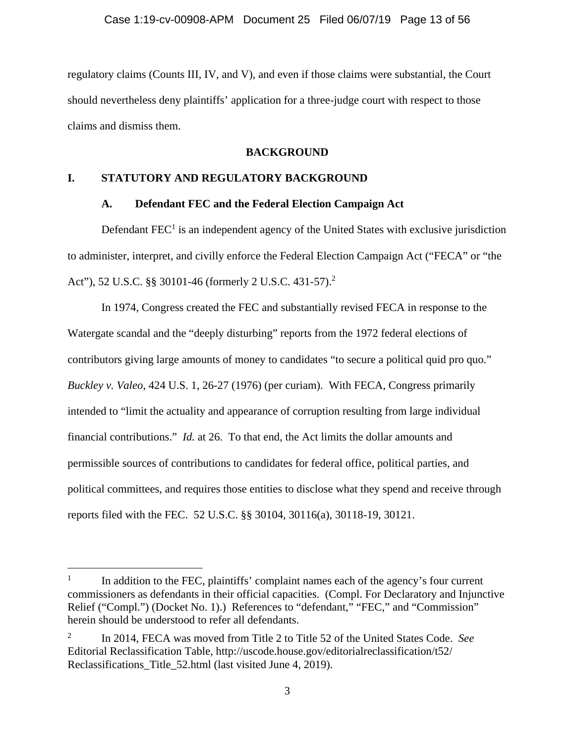regulatory claims (Counts III, IV, and V), and even if those claims were substantial, the Court should nevertheless deny plaintiffs' application for a three-judge court with respect to those claims and dismiss them.

### **BACKGROUND**

## **I. STATUTORY AND REGULATORY BACKGROUND**

### **A. Defendant FEC and the Federal Election Campaign Act**

Defendant  $FEC<sup>1</sup>$  is an independent agency of the United States with exclusive jurisdiction to administer, interpret, and civilly enforce the Federal Election Campaign Act ("FECA" or "the Act"), 52 U.S.C. §§ 30101-46 (formerly 2 U.S.C. 431-57).<sup>2</sup>

In 1974, Congress created the FEC and substantially revised FECA in response to the Watergate scandal and the "deeply disturbing" reports from the 1972 federal elections of contributors giving large amounts of money to candidates "to secure a political quid pro quo." *Buckley v. Valeo*, 424 U.S. 1, 26-27 (1976) (per curiam). With FECA, Congress primarily intended to "limit the actuality and appearance of corruption resulting from large individual financial contributions." *Id.* at 26. To that end, the Act limits the dollar amounts and permissible sources of contributions to candidates for federal office, political parties, and political committees, and requires those entities to disclose what they spend and receive through reports filed with the FEC. 52 U.S.C. §§ 30104, 30116(a), 30118-19, 30121.

l

<sup>1</sup> In addition to the FEC, plaintiffs' complaint names each of the agency's four current commissioners as defendants in their official capacities. (Compl. For Declaratory and Injunctive Relief ("Compl.") (Docket No. 1).) References to "defendant," "FEC," and "Commission" herein should be understood to refer all defendants.

<sup>2</sup> In 2014, FECA was moved from Title 2 to Title 52 of the United States Code. *See*  Editorial Reclassification Table, http://uscode.house.gov/editorialreclassification/t52/ Reclassifications Title 52.html (last visited June 4, 2019).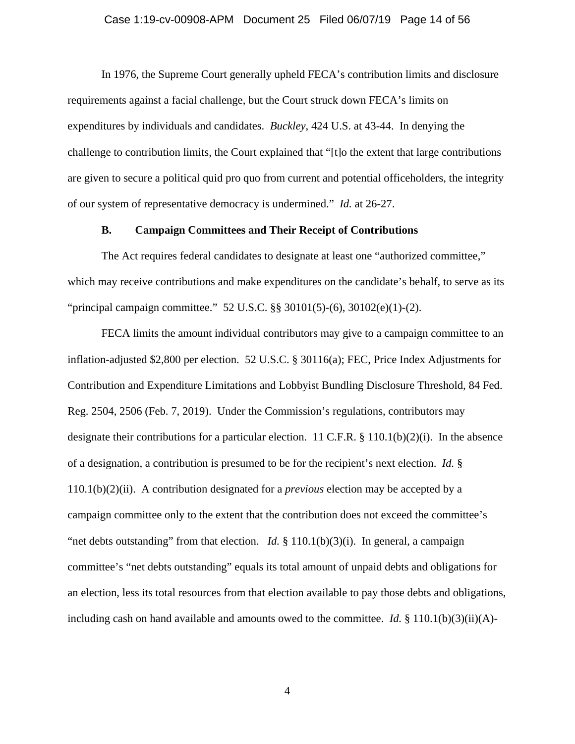#### Case 1:19-cv-00908-APM Document 25 Filed 06/07/19 Page 14 of 56

In 1976, the Supreme Court generally upheld FECA's contribution limits and disclosure requirements against a facial challenge, but the Court struck down FECA's limits on expenditures by individuals and candidates. *Buckley*, 424 U.S. at 43-44. In denying the challenge to contribution limits, the Court explained that "[t]o the extent that large contributions are given to secure a political quid pro quo from current and potential officeholders, the integrity of our system of representative democracy is undermined." *Id.* at 26-27.

### **B. Campaign Committees and Their Receipt of Contributions**

The Act requires federal candidates to designate at least one "authorized committee," which may receive contributions and make expenditures on the candidate's behalf, to serve as its "principal campaign committee." 52 U.S.C. §§ 30101(5)-(6), 30102(e)(1)-(2).

FECA limits the amount individual contributors may give to a campaign committee to an inflation-adjusted \$2,800 per election. 52 U.S.C. § 30116(a); FEC, Price Index Adjustments for Contribution and Expenditure Limitations and Lobbyist Bundling Disclosure Threshold, 84 Fed. Reg. 2504, 2506 (Feb. 7, 2019). Under the Commission's regulations, contributors may designate their contributions for a particular election. 11 C.F.R. § 110.1(b)(2)(i). In the absence of a designation, a contribution is presumed to be for the recipient's next election. *Id.* § 110.1(b)(2)(ii). A contribution designated for a *previous* election may be accepted by a campaign committee only to the extent that the contribution does not exceed the committee's "net debts outstanding" from that election. *Id.* § 110.1(b)(3)(i). In general, a campaign committee's "net debts outstanding" equals its total amount of unpaid debts and obligations for an election, less its total resources from that election available to pay those debts and obligations, including cash on hand available and amounts owed to the committee. *Id.* § 110.1(b)(3)(ii)(A)-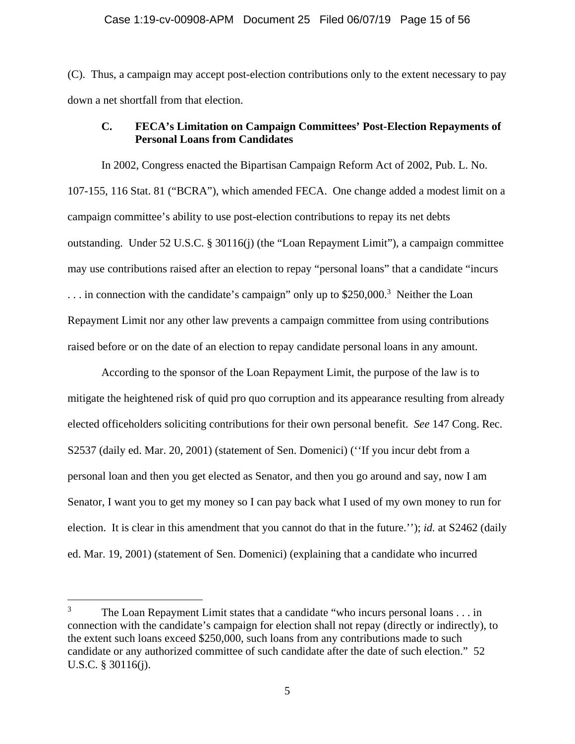(C). Thus, a campaign may accept post-election contributions only to the extent necessary to pay down a net shortfall from that election.

## **C. FECA's Limitation on Campaign Committees' Post-Election Repayments of Personal Loans from Candidates**

In 2002, Congress enacted the Bipartisan Campaign Reform Act of 2002, Pub. L. No. 107-155, 116 Stat. 81 ("BCRA"), which amended FECA. One change added a modest limit on a campaign committee's ability to use post-election contributions to repay its net debts outstanding. Under 52 U.S.C. § 30116(j) (the "Loan Repayment Limit"), a campaign committee may use contributions raised after an election to repay "personal loans" that a candidate "incurs  $\ldots$  in connection with the candidate's campaign" only up to \$250,000.<sup>3</sup> Neither the Loan Repayment Limit nor any other law prevents a campaign committee from using contributions raised before or on the date of an election to repay candidate personal loans in any amount.

According to the sponsor of the Loan Repayment Limit, the purpose of the law is to mitigate the heightened risk of quid pro quo corruption and its appearance resulting from already elected officeholders soliciting contributions for their own personal benefit. *See* 147 Cong. Rec. S2537 (daily ed. Mar. 20, 2001) (statement of Sen. Domenici) (''If you incur debt from a personal loan and then you get elected as Senator, and then you go around and say, now I am Senator, I want you to get my money so I can pay back what I used of my own money to run for election. It is clear in this amendment that you cannot do that in the future.''); *id.* at S2462 (daily ed. Mar. 19, 2001) (statement of Sen. Domenici) (explaining that a candidate who incurred

<sup>3</sup> The Loan Repayment Limit states that a candidate "who incurs personal loans . . . in connection with the candidate's campaign for election shall not repay (directly or indirectly), to the extent such loans exceed \$250,000, such loans from any contributions made to such candidate or any authorized committee of such candidate after the date of such election." 52 U.S.C. § 30116(j).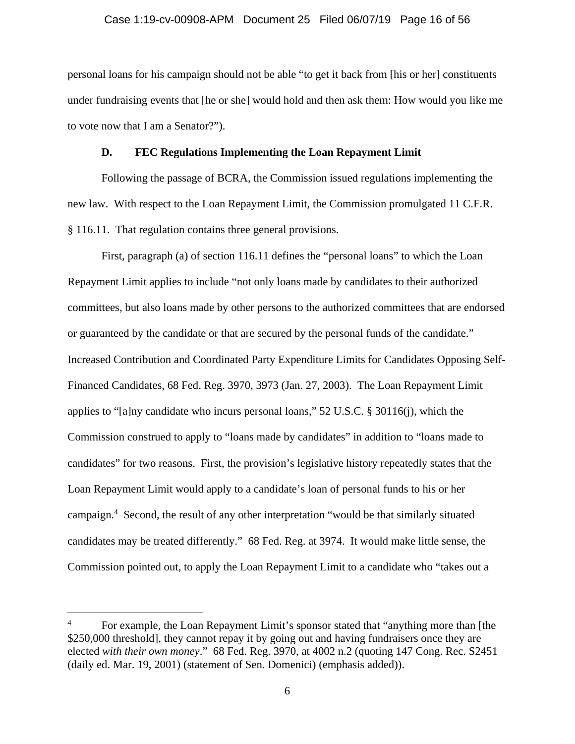### Case 1:19-cv-00908-APM Document 25 Filed 06/07/19 Page 16 of 56

personal loans for his campaign should not be able "to get it back from [his or her] constituents under fundraising events that [he or she] would hold and then ask them: How would you like me to vote now that I am a Senator?").

### **D. FEC Regulations Implementing the Loan Repayment Limit**

Following the passage of BCRA, the Commission issued regulations implementing the new law. With respect to the Loan Repayment Limit, the Commission promulgated 11 C.F.R. § 116.11. That regulation contains three general provisions.

First, paragraph (a) of section 116.11 defines the "personal loans" to which the Loan Repayment Limit applies to include "not only loans made by candidates to their authorized committees, but also loans made by other persons to the authorized committees that are endorsed or guaranteed by the candidate or that are secured by the personal funds of the candidate." Increased Contribution and Coordinated Party Expenditure Limits for Candidates Opposing Self-Financed Candidates, 68 Fed. Reg. 3970, 3973 (Jan. 27, 2003). The Loan Repayment Limit applies to "[a]ny candidate who incurs personal loans," 52 U.S.C. § 30116(j), which the Commission construed to apply to "loans made by candidates" in addition to "loans made to candidates" for two reasons. First, the provision's legislative history repeatedly states that the Loan Repayment Limit would apply to a candidate's loan of personal funds to his or her campaign.4 Second, the result of any other interpretation "would be that similarly situated candidates may be treated differently." 68 Fed. Reg. at 3974. It would make little sense, the Commission pointed out, to apply the Loan Repayment Limit to a candidate who "takes out a

<sup>4</sup> For example, the Loan Repayment Limit's sponsor stated that "anything more than [the \$250,000 threshold], they cannot repay it by going out and having fundraisers once they are elected *with their own money*." 68 Fed. Reg. 3970, at 4002 n.2 (quoting 147 Cong. Rec. S2451 (daily ed. Mar. 19, 2001) (statement of Sen. Domenici) (emphasis added)).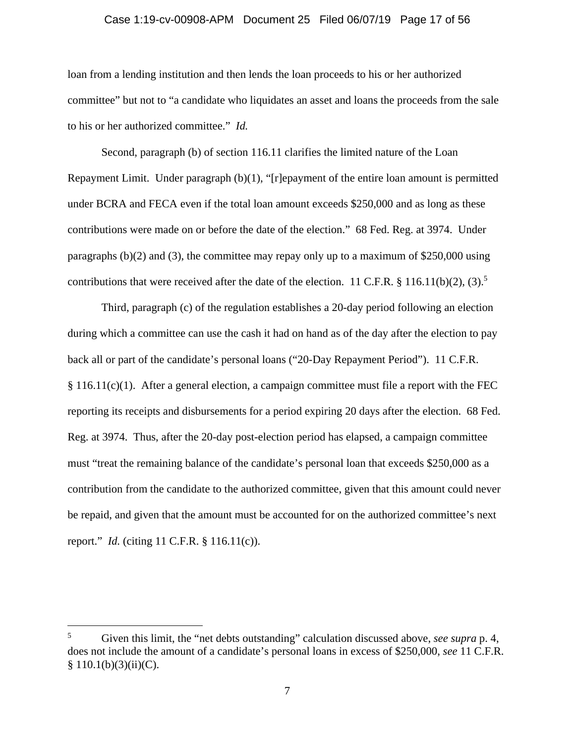### Case 1:19-cv-00908-APM Document 25 Filed 06/07/19 Page 17 of 56

loan from a lending institution and then lends the loan proceeds to his or her authorized committee" but not to "a candidate who liquidates an asset and loans the proceeds from the sale to his or her authorized committee." *Id.*

Second, paragraph (b) of section 116.11 clarifies the limited nature of the Loan Repayment Limit. Under paragraph  $(b)(1)$ , "[r]epayment of the entire loan amount is permitted under BCRA and FECA even if the total loan amount exceeds \$250,000 and as long as these contributions were made on or before the date of the election." 68 Fed. Reg. at 3974. Under paragraphs (b)(2) and (3), the committee may repay only up to a maximum of \$250,000 using contributions that were received after the date of the election. 11 C.F.R.  $\S$  116.11(b)(2), (3).<sup>5</sup>

Third, paragraph (c) of the regulation establishes a 20-day period following an election during which a committee can use the cash it had on hand as of the day after the election to pay back all or part of the candidate's personal loans ("20-Day Repayment Period"). 11 C.F.R. § 116.11(c)(1). After a general election, a campaign committee must file a report with the FEC reporting its receipts and disbursements for a period expiring 20 days after the election. 68 Fed. Reg. at 3974. Thus, after the 20-day post-election period has elapsed, a campaign committee must "treat the remaining balance of the candidate's personal loan that exceeds \$250,000 as a contribution from the candidate to the authorized committee, given that this amount could never be repaid, and given that the amount must be accounted for on the authorized committee's next report." *Id.* (citing 11 C.F.R. § 116.11(c)).

<sup>5</sup> Given this limit, the "net debts outstanding" calculation discussed above, *see supra* p. 4, does not include the amount of a candidate's personal loans in excess of \$250,000, *see* 11 C.F.R.  $$110.1(b)(3)(ii)(C).$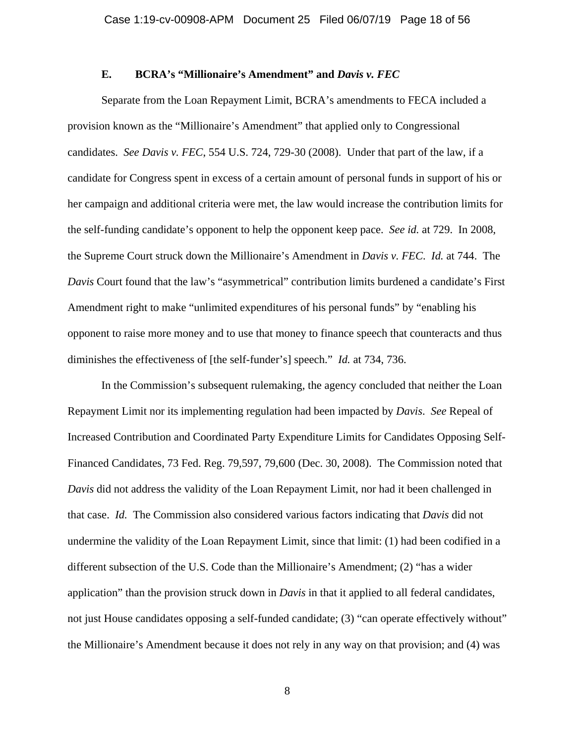### **E. BCRA's "Millionaire's Amendment" and** *Davis v. FEC*

Separate from the Loan Repayment Limit, BCRA's amendments to FECA included a provision known as the "Millionaire's Amendment" that applied only to Congressional candidates. *See Davis v. FEC*, 554 U.S. 724, 729-30 (2008). Under that part of the law, if a candidate for Congress spent in excess of a certain amount of personal funds in support of his or her campaign and additional criteria were met, the law would increase the contribution limits for the self-funding candidate's opponent to help the opponent keep pace. *See id.* at 729. In 2008, the Supreme Court struck down the Millionaire's Amendment in *Davis v. FEC*. *Id.* at 744. The *Davis* Court found that the law's "asymmetrical" contribution limits burdened a candidate's First Amendment right to make "unlimited expenditures of his personal funds" by "enabling his opponent to raise more money and to use that money to finance speech that counteracts and thus diminishes the effectiveness of [the self-funder's] speech." *Id.* at 734, 736.

In the Commission's subsequent rulemaking, the agency concluded that neither the Loan Repayment Limit nor its implementing regulation had been impacted by *Davis*. *See* Repeal of Increased Contribution and Coordinated Party Expenditure Limits for Candidates Opposing Self-Financed Candidates, 73 Fed. Reg. 79,597, 79,600 (Dec. 30, 2008). The Commission noted that *Davis* did not address the validity of the Loan Repayment Limit, nor had it been challenged in that case. *Id.* The Commission also considered various factors indicating that *Davis* did not undermine the validity of the Loan Repayment Limit, since that limit: (1) had been codified in a different subsection of the U.S. Code than the Millionaire's Amendment; (2) "has a wider application" than the provision struck down in *Davis* in that it applied to all federal candidates, not just House candidates opposing a self-funded candidate; (3) "can operate effectively without" the Millionaire's Amendment because it does not rely in any way on that provision; and (4) was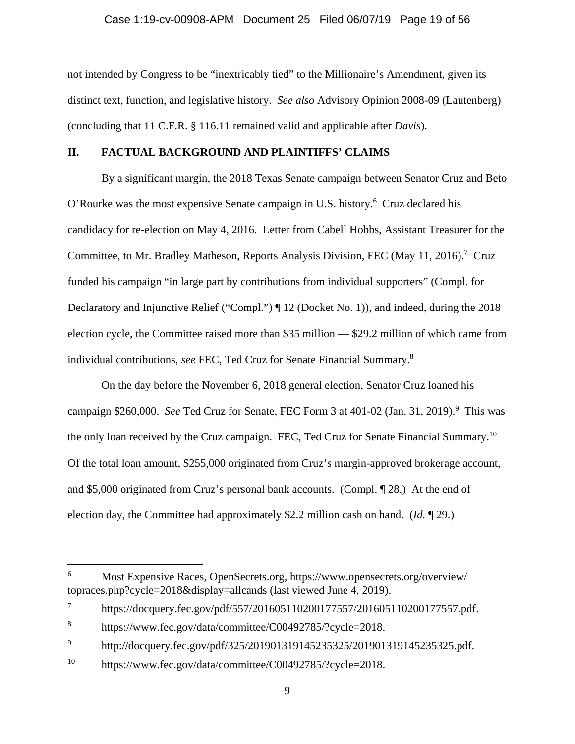not intended by Congress to be "inextricably tied" to the Millionaire's Amendment, given its distinct text, function, and legislative history. *See also* Advisory Opinion 2008-09 (Lautenberg) (concluding that 11 C.F.R. § 116.11 remained valid and applicable after *Davis*).

### **II. FACTUAL BACKGROUND AND PLAINTIFFS' CLAIMS**

By a significant margin, the 2018 Texas Senate campaign between Senator Cruz and Beto O'Rourke was the most expensive Senate campaign in U.S. history.<sup>6</sup> Cruz declared his candidacy for re-election on May 4, 2016. Letter from Cabell Hobbs, Assistant Treasurer for the Committee, to Mr. Bradley Matheson, Reports Analysis Division, FEC (May 11, 2016).<sup>7</sup> Cruz funded his campaign "in large part by contributions from individual supporters" (Compl. for Declaratory and Injunctive Relief ("Compl.") ¶ 12 (Docket No. 1)), and indeed, during the 2018 election cycle, the Committee raised more than \$35 million — \$29.2 million of which came from individual contributions, *see* FEC, Ted Cruz for Senate Financial Summary.8

On the day before the November 6, 2018 general election, Senator Cruz loaned his campaign \$260,000. See Ted Cruz for Senate, FEC Form 3 at 401-02 (Jan. 31, 2019).<sup>9</sup> This was the only loan received by the Cruz campaign.FEC, Ted Cruz for Senate Financial Summary.10 Of the total loan amount, \$255,000 originated from Cruz's margin-approved brokerage account, and \$5,000 originated from Cruz's personal bank accounts. (Compl. ¶ 28.) At the end of election day, the Committee had approximately \$2.2 million cash on hand. (*Id.* ¶ 29.)

<sup>6</sup> Most Expensive Races, OpenSecrets.org, https://www.opensecrets.org/overview/ topraces.php?cycle=2018&display=allcands (last viewed June 4, 2019).

<sup>7</sup> https://docquery.fec.gov/pdf/557/201605110200177557/201605110200177557.pdf.

<sup>8</sup> https://www.fec.gov/data/committee/C00492785/?cycle=2018.

<sup>9</sup> http://docquery.fec.gov/pdf/325/201901319145235325/201901319145235325.pdf.

<sup>10</sup> https://www.fec.gov/data/committee/C00492785/?cycle=2018.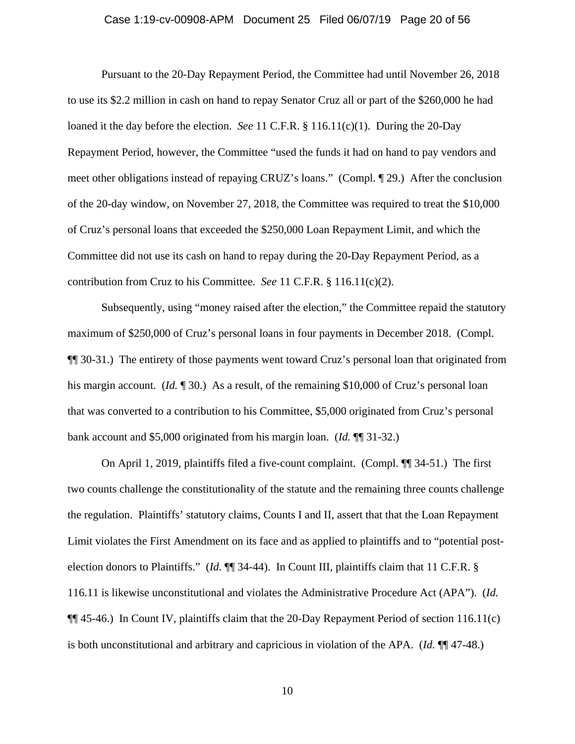### Case 1:19-cv-00908-APM Document 25 Filed 06/07/19 Page 20 of 56

Pursuant to the 20-Day Repayment Period, the Committee had until November 26, 2018 to use its \$2.2 million in cash on hand to repay Senator Cruz all or part of the \$260,000 he had loaned it the day before the election. *See* 11 C.F.R. § 116.11(c)(1). During the 20-Day Repayment Period, however, the Committee "used the funds it had on hand to pay vendors and meet other obligations instead of repaying CRUZ's loans." (Compl. ¶ 29.) After the conclusion of the 20-day window, on November 27, 2018, the Committee was required to treat the \$10,000 of Cruz's personal loans that exceeded the \$250,000 Loan Repayment Limit, and which the Committee did not use its cash on hand to repay during the 20-Day Repayment Period, as a contribution from Cruz to his Committee. *See* 11 C.F.R. § 116.11(c)(2).

Subsequently, using "money raised after the election," the Committee repaid the statutory maximum of \$250,000 of Cruz's personal loans in four payments in December 2018. (Compl. ¶¶ 30-31.) The entirety of those payments went toward Cruz's personal loan that originated from his margin account. (*Id.* 130.) As a result, of the remaining \$10,000 of Cruz's personal loan that was converted to a contribution to his Committee, \$5,000 originated from Cruz's personal bank account and \$5,000 originated from his margin loan. (*Id.* ¶¶ 31-32.)

On April 1, 2019, plaintiffs filed a five-count complaint. (Compl. ¶¶ 34-51.) The first two counts challenge the constitutionality of the statute and the remaining three counts challenge the regulation. Plaintiffs' statutory claims, Counts I and II, assert that that the Loan Repayment Limit violates the First Amendment on its face and as applied to plaintiffs and to "potential postelection donors to Plaintiffs." (*Id.* ¶¶ 34-44). In Count III, plaintiffs claim that 11 C.F.R. § 116.11 is likewise unconstitutional and violates the Administrative Procedure Act (APA"). (*Id.* ¶¶ 45-46.) In Count IV, plaintiffs claim that the 20-Day Repayment Period of section 116.11(c) is both unconstitutional and arbitrary and capricious in violation of the APA. (*Id.* ¶¶ 47-48.)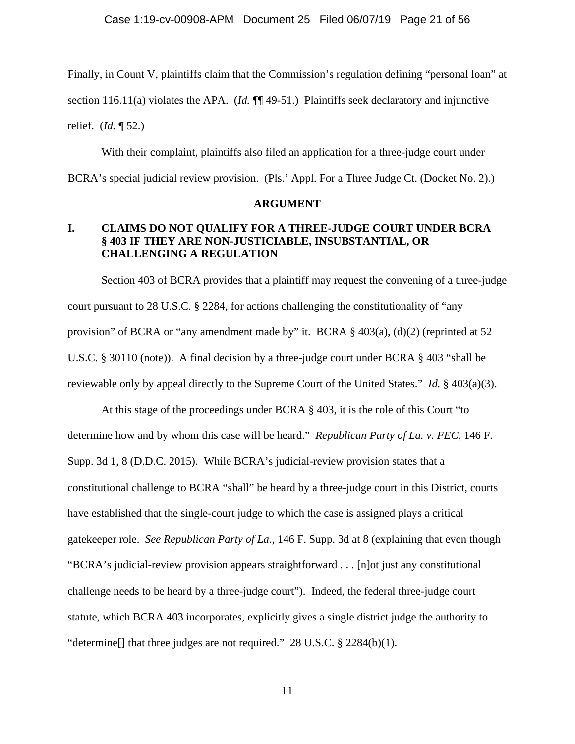Finally, in Count V, plaintiffs claim that the Commission's regulation defining "personal loan" at section 116.11(a) violates the APA. (*Id.*  $\P$  49-51.) Plaintiffs seek declaratory and injunctive relief. (*Id.* ¶ 52.)

With their complaint, plaintiffs also filed an application for a three-judge court under BCRA's special judicial review provision. (Pls.' Appl. For a Three Judge Ct. (Docket No. 2).)

### **ARGUMENT**

# **I. CLAIMS DO NOT QUALIFY FOR A THREE-JUDGE COURT UNDER BCRA § 403 IF THEY ARE NON-JUSTICIABLE, INSUBSTANTIAL, OR CHALLENGING A REGULATION**

Section 403 of BCRA provides that a plaintiff may request the convening of a three-judge court pursuant to 28 U.S.C. § 2284, for actions challenging the constitutionality of "any provision" of BCRA or "any amendment made by" it. BCRA § 403(a), (d)(2) (reprinted at 52 U.S.C. § 30110 (note)). A final decision by a three-judge court under BCRA § 403 "shall be reviewable only by appeal directly to the Supreme Court of the United States." *Id.* § 403(a)(3).

At this stage of the proceedings under BCRA § 403, it is the role of this Court "to determine how and by whom this case will be heard." *Republican Party of La. v. FEC*, 146 F. Supp. 3d 1, 8 (D.D.C. 2015). While BCRA's judicial-review provision states that a constitutional challenge to BCRA "shall" be heard by a three-judge court in this District, courts have established that the single-court judge to which the case is assigned plays a critical gatekeeper role. *See Republican Party of La.*, 146 F. Supp. 3d at 8 (explaining that even though "BCRA's judicial-review provision appears straightforward . . . [n]ot just any constitutional challenge needs to be heard by a three-judge court"). Indeed, the federal three-judge court statute, which BCRA 403 incorporates, explicitly gives a single district judge the authority to "determine[] that three judges are not required." 28 U.S.C. § 2284(b)(1).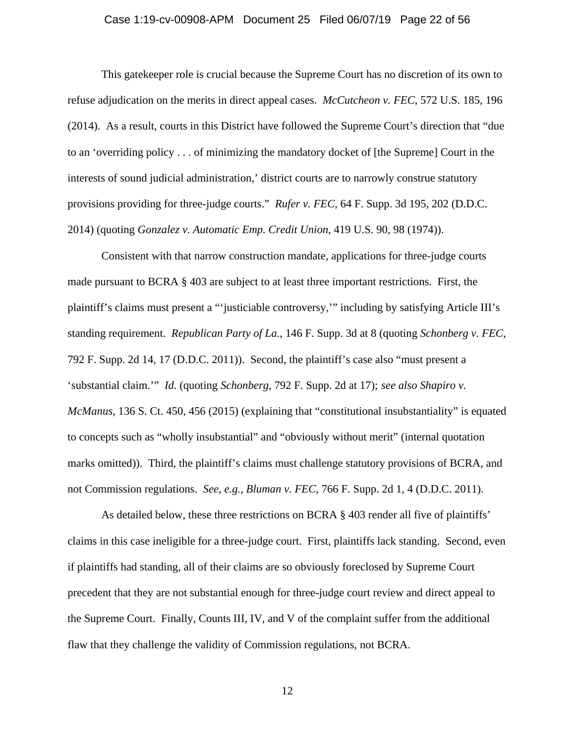### Case 1:19-cv-00908-APM Document 25 Filed 06/07/19 Page 22 of 56

This gatekeeper role is crucial because the Supreme Court has no discretion of its own to refuse adjudication on the merits in direct appeal cases. *McCutcheon v. FEC*, 572 U.S. 185, 196 (2014). As a result, courts in this District have followed the Supreme Court's direction that "due to an 'overriding policy . . . of minimizing the mandatory docket of [the Supreme] Court in the interests of sound judicial administration,' district courts are to narrowly construe statutory provisions providing for three-judge courts." *Rufer v. FEC*, 64 F. Supp. 3d 195, 202 (D.D.C. 2014) (quoting *Gonzalez v. Automatic Emp. Credit Union*, 419 U.S. 90, 98 (1974)).

Consistent with that narrow construction mandate, applications for three-judge courts made pursuant to BCRA § 403 are subject to at least three important restrictions. First, the plaintiff's claims must present a "'justiciable controversy,'" including by satisfying Article III's standing requirement. *Republican Party of La.*, 146 F. Supp. 3d at 8 (quoting *Schonberg v. FEC*, 792 F. Supp. 2d 14, 17 (D.D.C. 2011)). Second, the plaintiff's case also "must present a 'substantial claim.'" *Id.* (quoting *Schonberg*, 792 F. Supp. 2d at 17); *see also Shapiro v. McManus*, 136 S. Ct. 450, 456 (2015) (explaining that "constitutional insubstantiality" is equated to concepts such as "wholly insubstantial" and "obviously without merit" (internal quotation marks omitted)). Third, the plaintiff's claims must challenge statutory provisions of BCRA, and not Commission regulations. *See, e.g.*, *Bluman v. FEC*, 766 F. Supp. 2d 1, 4 (D.D.C. 2011).

As detailed below, these three restrictions on BCRA § 403 render all five of plaintiffs' claims in this case ineligible for a three-judge court. First, plaintiffs lack standing. Second, even if plaintiffs had standing, all of their claims are so obviously foreclosed by Supreme Court precedent that they are not substantial enough for three-judge court review and direct appeal to the Supreme Court. Finally, Counts III, IV, and V of the complaint suffer from the additional flaw that they challenge the validity of Commission regulations, not BCRA.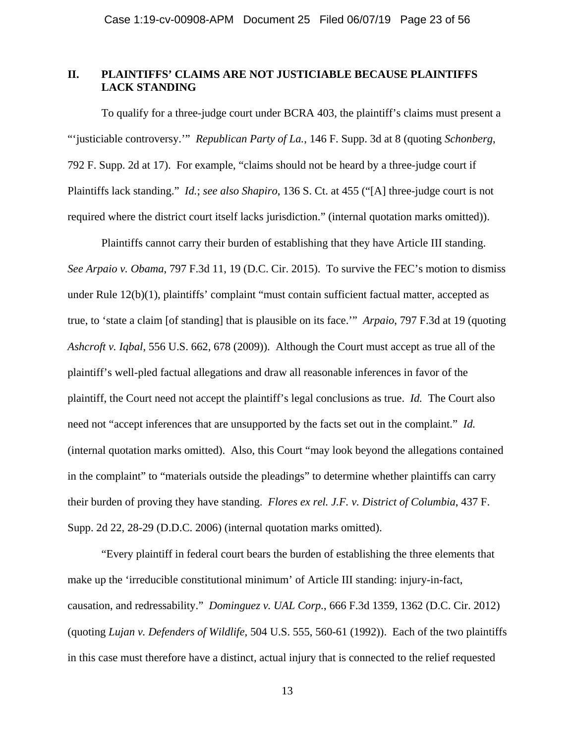# **II. PLAINTIFFS' CLAIMS ARE NOT JUSTICIABLE BECAUSE PLAINTIFFS LACK STANDING**

To qualify for a three-judge court under BCRA 403, the plaintiff's claims must present a "'justiciable controversy.'" *Republican Party of La.*, 146 F. Supp. 3d at 8 (quoting *Schonberg*, 792 F. Supp. 2d at 17). For example, "claims should not be heard by a three-judge court if Plaintiffs lack standing." *Id.*; *see also Shapiro*, 136 S. Ct. at 455 ("[A] three-judge court is not required where the district court itself lacks jurisdiction." (internal quotation marks omitted)).

Plaintiffs cannot carry their burden of establishing that they have Article III standing. *See Arpaio v. Obama*, 797 F.3d 11, 19 (D.C. Cir. 2015). To survive the FEC's motion to dismiss under Rule 12(b)(1), plaintiffs' complaint "must contain sufficient factual matter, accepted as true, to 'state a claim [of standing] that is plausible on its face.'" *Arpaio*, 797 F.3d at 19 (quoting *Ashcroft v. Iqbal*, 556 U.S. 662, 678 (2009)). Although the Court must accept as true all of the plaintiff's well-pled factual allegations and draw all reasonable inferences in favor of the plaintiff, the Court need not accept the plaintiff's legal conclusions as true. *Id.* The Court also need not "accept inferences that are unsupported by the facts set out in the complaint." *Id.* (internal quotation marks omitted). Also, this Court "may look beyond the allegations contained in the complaint" to "materials outside the pleadings" to determine whether plaintiffs can carry their burden of proving they have standing. *Flores ex rel. J.F. v. District of Columbia*, 437 F. Supp. 2d 22, 28-29 (D.D.C. 2006) (internal quotation marks omitted).

"Every plaintiff in federal court bears the burden of establishing the three elements that make up the 'irreducible constitutional minimum' of Article III standing: injury-in-fact, causation, and redressability." *Dominguez v. UAL Corp.*, 666 F.3d 1359, 1362 (D.C. Cir. 2012) (quoting *Lujan v. Defenders of Wildlife*, 504 U.S. 555, 560-61 (1992)). Each of the two plaintiffs in this case must therefore have a distinct, actual injury that is connected to the relief requested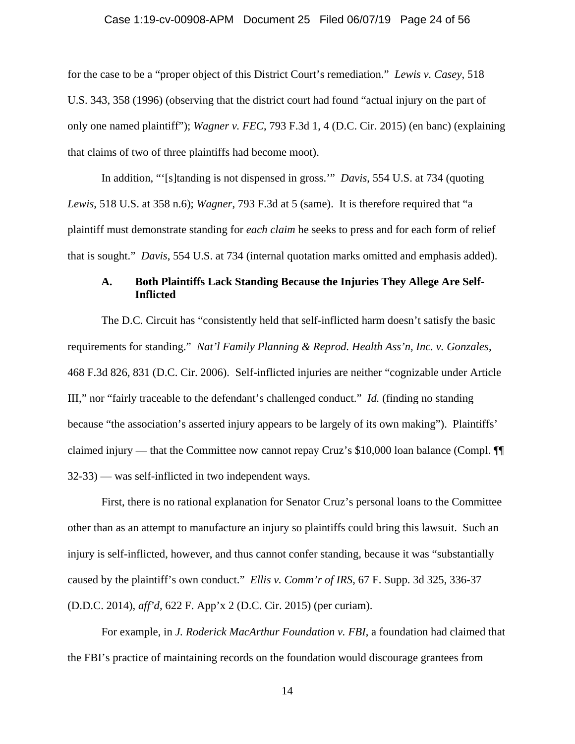### Case 1:19-cv-00908-APM Document 25 Filed 06/07/19 Page 24 of 56

for the case to be a "proper object of this District Court's remediation." *Lewis v. Casey*, 518 U.S. 343, 358 (1996) (observing that the district court had found "actual injury on the part of only one named plaintiff"); *Wagner v. FEC*, 793 F.3d 1, 4 (D.C. Cir. 2015) (en banc) (explaining that claims of two of three plaintiffs had become moot).

In addition, "'[s]tanding is not dispensed in gross.'" *Davis*, 554 U.S. at 734 (quoting *Lewis*, 518 U.S. at 358 n.6); *Wagner*, 793 F.3d at 5 (same). It is therefore required that "a plaintiff must demonstrate standing for *each claim* he seeks to press and for each form of relief that is sought." *Davis*, 554 U.S. at 734 (internal quotation marks omitted and emphasis added).

## **A. Both Plaintiffs Lack Standing Because the Injuries They Allege Are Self-Inflicted**

The D.C. Circuit has "consistently held that self-inflicted harm doesn't satisfy the basic requirements for standing." *Nat'l Family Planning & Reprod. Health Ass'n, Inc. v. Gonzales*, 468 F.3d 826, 831 (D.C. Cir. 2006). Self-inflicted injuries are neither "cognizable under Article III," nor "fairly traceable to the defendant's challenged conduct." *Id.* (finding no standing because "the association's asserted injury appears to be largely of its own making"). Plaintiffs' claimed injury — that the Committee now cannot repay Cruz's \$10,000 loan balance (Compl. ¶¶ 32-33) — was self-inflicted in two independent ways.

First, there is no rational explanation for Senator Cruz's personal loans to the Committee other than as an attempt to manufacture an injury so plaintiffs could bring this lawsuit. Such an injury is self-inflicted, however, and thus cannot confer standing, because it was "substantially caused by the plaintiff's own conduct." *Ellis v. Comm'r of IRS*, 67 F. Supp. 3d 325, 336-37 (D.D.C. 2014), *aff'd*, 622 F. App'x 2 (D.C. Cir. 2015) (per curiam).

For example, in *J. Roderick MacArthur Foundation v. FBI*, a foundation had claimed that the FBI's practice of maintaining records on the foundation would discourage grantees from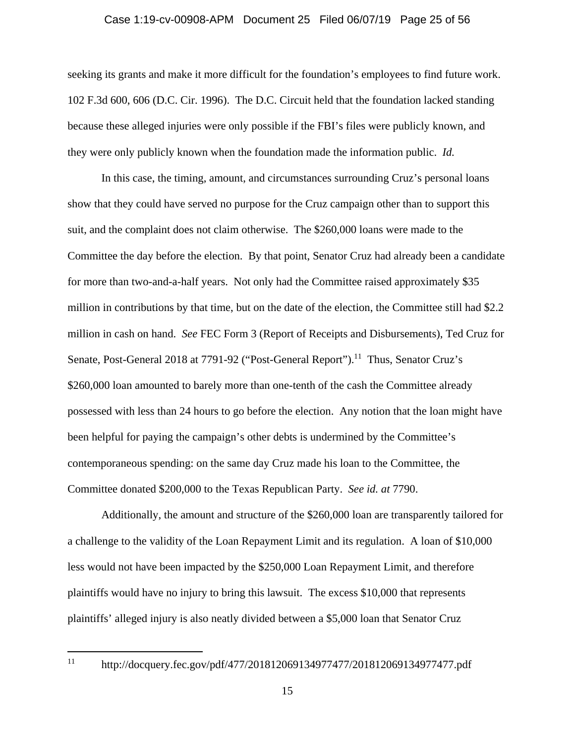### Case 1:19-cv-00908-APM Document 25 Filed 06/07/19 Page 25 of 56

seeking its grants and make it more difficult for the foundation's employees to find future work. 102 F.3d 600, 606 (D.C. Cir. 1996). The D.C. Circuit held that the foundation lacked standing because these alleged injuries were only possible if the FBI's files were publicly known, and they were only publicly known when the foundation made the information public. *Id.*

In this case, the timing, amount, and circumstances surrounding Cruz's personal loans show that they could have served no purpose for the Cruz campaign other than to support this suit, and the complaint does not claim otherwise. The \$260,000 loans were made to the Committee the day before the election. By that point, Senator Cruz had already been a candidate for more than two-and-a-half years. Not only had the Committee raised approximately \$35 million in contributions by that time, but on the date of the election, the Committee still had \$2.2 million in cash on hand. *See* FEC Form 3 (Report of Receipts and Disbursements), Ted Cruz for Senate, Post-General 2018 at 7791-92 ("Post-General Report").<sup>11</sup> Thus, Senator Cruz's \$260,000 loan amounted to barely more than one-tenth of the cash the Committee already possessed with less than 24 hours to go before the election. Any notion that the loan might have been helpful for paying the campaign's other debts is undermined by the Committee's contemporaneous spending: on the same day Cruz made his loan to the Committee, the Committee donated \$200,000 to the Texas Republican Party. *See id. at* 7790.

Additionally, the amount and structure of the \$260,000 loan are transparently tailored for a challenge to the validity of the Loan Repayment Limit and its regulation. A loan of \$10,000 less would not have been impacted by the \$250,000 Loan Repayment Limit, and therefore plaintiffs would have no injury to bring this lawsuit. The excess \$10,000 that represents plaintiffs' alleged injury is also neatly divided between a \$5,000 loan that Senator Cruz

<sup>11</sup> http://docquery.fec.gov/pdf/477/201812069134977477/201812069134977477.pdf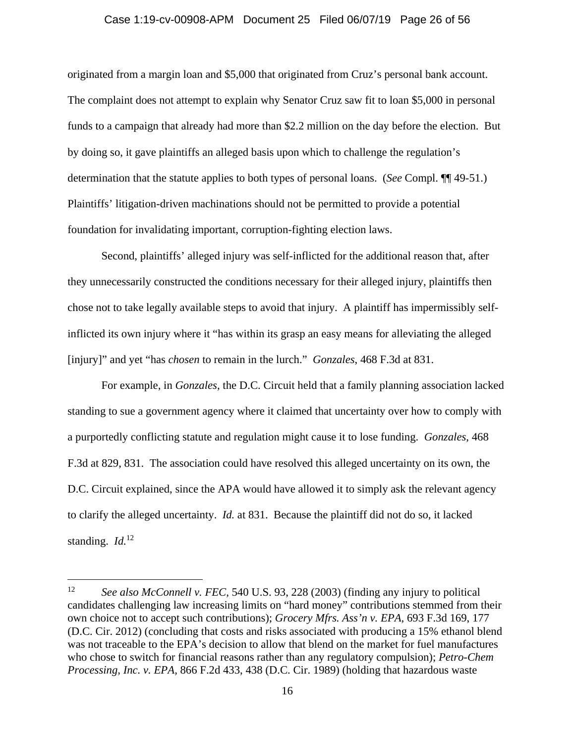#### Case 1:19-cv-00908-APM Document 25 Filed 06/07/19 Page 26 of 56

originated from a margin loan and \$5,000 that originated from Cruz's personal bank account. The complaint does not attempt to explain why Senator Cruz saw fit to loan \$5,000 in personal funds to a campaign that already had more than \$2.2 million on the day before the election. But by doing so, it gave plaintiffs an alleged basis upon which to challenge the regulation's determination that the statute applies to both types of personal loans. (*See* Compl. ¶¶ 49-51.) Plaintiffs' litigation-driven machinations should not be permitted to provide a potential foundation for invalidating important, corruption-fighting election laws.

Second, plaintiffs' alleged injury was self-inflicted for the additional reason that, after they unnecessarily constructed the conditions necessary for their alleged injury, plaintiffs then chose not to take legally available steps to avoid that injury. A plaintiff has impermissibly selfinflicted its own injury where it "has within its grasp an easy means for alleviating the alleged [injury]" and yet "has *chosen* to remain in the lurch." *Gonzales*, 468 F.3d at 831.

For example, in *Gonzales*, the D.C. Circuit held that a family planning association lacked standing to sue a government agency where it claimed that uncertainty over how to comply with a purportedly conflicting statute and regulation might cause it to lose funding. *Gonzales*, 468 F.3d at 829, 831. The association could have resolved this alleged uncertainty on its own, the D.C. Circuit explained, since the APA would have allowed it to simply ask the relevant agency to clarify the alleged uncertainty. *Id.* at 831. Because the plaintiff did not do so, it lacked standing. *Id.*12

l

<sup>12</sup> *See also McConnell v. FEC,* 540 U.S. 93, 228 (2003) (finding any injury to political candidates challenging law increasing limits on "hard money" contributions stemmed from their own choice not to accept such contributions); *Grocery Mfrs. Ass'n v. EPA,* 693 F.3d 169, 177 (D.C. Cir. 2012) (concluding that costs and risks associated with producing a 15% ethanol blend was not traceable to the EPA's decision to allow that blend on the market for fuel manufactures who chose to switch for financial reasons rather than any regulatory compulsion); *Petro-Chem Processing, Inc. v. EPA,* 866 F.2d 433, 438 (D.C. Cir. 1989) (holding that hazardous waste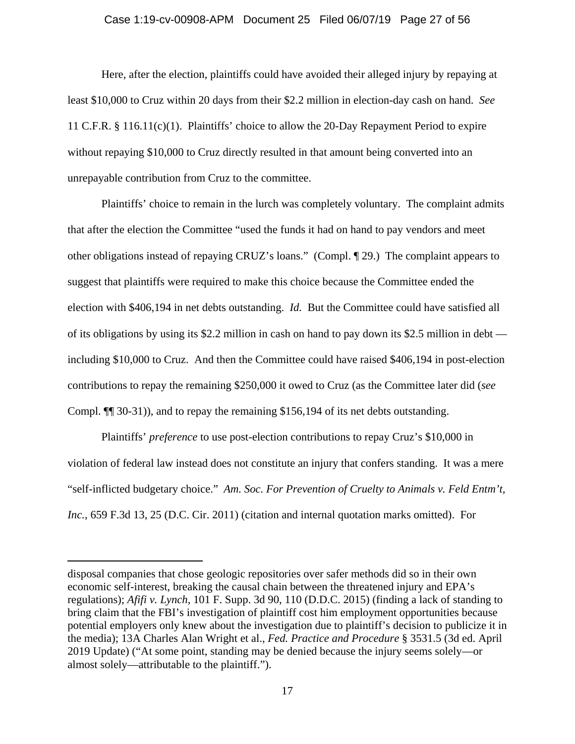#### Case 1:19-cv-00908-APM Document 25 Filed 06/07/19 Page 27 of 56

Here, after the election, plaintiffs could have avoided their alleged injury by repaying at least \$10,000 to Cruz within 20 days from their \$2.2 million in election-day cash on hand. *See*  11 C.F.R. § 116.11(c)(1). Plaintiffs' choice to allow the 20-Day Repayment Period to expire without repaying \$10,000 to Cruz directly resulted in that amount being converted into an unrepayable contribution from Cruz to the committee.

Plaintiffs' choice to remain in the lurch was completely voluntary. The complaint admits that after the election the Committee "used the funds it had on hand to pay vendors and meet other obligations instead of repaying CRUZ's loans." (Compl. ¶ 29.) The complaint appears to suggest that plaintiffs were required to make this choice because the Committee ended the election with \$406,194 in net debts outstanding. *Id.* But the Committee could have satisfied all of its obligations by using its \$2.2 million in cash on hand to pay down its \$2.5 million in debt including \$10,000 to Cruz. And then the Committee could have raised \$406,194 in post-election contributions to repay the remaining \$250,000 it owed to Cruz (as the Committee later did (*see* Compl. ¶¶ 30-31)), and to repay the remaining \$156,194 of its net debts outstanding.

Plaintiffs' *preference* to use post-election contributions to repay Cruz's \$10,000 in violation of federal law instead does not constitute an injury that confers standing. It was a mere "self-inflicted budgetary choice." *Am. Soc. For Prevention of Cruelty to Animals v. Feld Entm't, Inc.*, 659 F.3d 13, 25 (D.C. Cir. 2011) (citation and internal quotation marks omitted). For

disposal companies that chose geologic repositories over safer methods did so in their own economic self-interest, breaking the causal chain between the threatened injury and EPA's regulations); *Afifi v. Lynch*, 101 F. Supp. 3d 90, 110 (D.D.C. 2015) (finding a lack of standing to bring claim that the FBI's investigation of plaintiff cost him employment opportunities because potential employers only knew about the investigation due to plaintiff's decision to publicize it in the media); 13A Charles Alan Wright et al., *Fed. Practice and Procedure* § 3531.5 (3d ed. April 2019 Update) ("At some point, standing may be denied because the injury seems solely—or almost solely—attributable to the plaintiff.").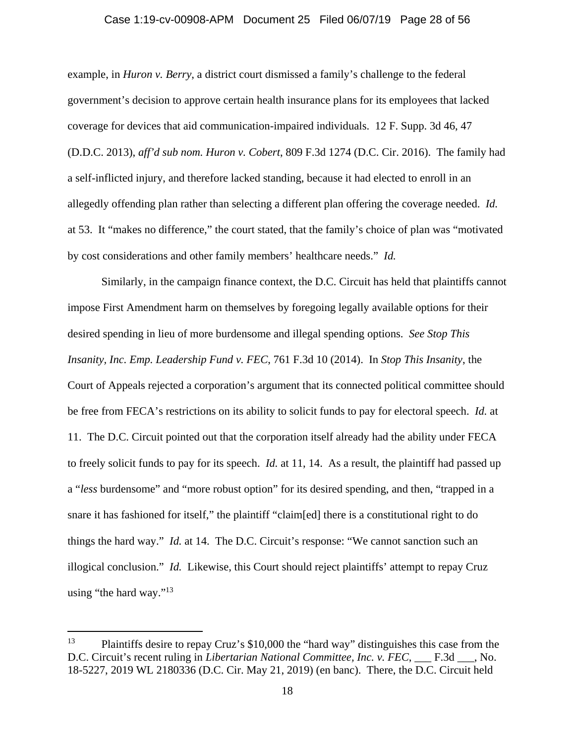### Case 1:19-cv-00908-APM Document 25 Filed 06/07/19 Page 28 of 56

example, in *Huron v. Berry*, a district court dismissed a family's challenge to the federal government's decision to approve certain health insurance plans for its employees that lacked coverage for devices that aid communication-impaired individuals. 12 F. Supp. 3d 46, 47 (D.D.C. 2013), *aff'd sub nom. Huron v. Cobert*, 809 F.3d 1274 (D.C. Cir. 2016).The family had a self-inflicted injury, and therefore lacked standing, because it had elected to enroll in an allegedly offending plan rather than selecting a different plan offering the coverage needed. *Id.* at 53. It "makes no difference," the court stated, that the family's choice of plan was "motivated by cost considerations and other family members' healthcare needs." *Id.*

Similarly, in the campaign finance context, the D.C. Circuit has held that plaintiffs cannot impose First Amendment harm on themselves by foregoing legally available options for their desired spending in lieu of more burdensome and illegal spending options. *See Stop This Insanity, Inc. Emp. Leadership Fund v. FEC*, 761 F.3d 10 (2014). In *Stop This Insanity*, the Court of Appeals rejected a corporation's argument that its connected political committee should be free from FECA's restrictions on its ability to solicit funds to pay for electoral speech. *Id.* at 11. The D.C. Circuit pointed out that the corporation itself already had the ability under FECA to freely solicit funds to pay for its speech. *Id.* at 11, 14. As a result, the plaintiff had passed up a "*less* burdensome" and "more robust option" for its desired spending, and then, "trapped in a snare it has fashioned for itself," the plaintiff "claim[ed] there is a constitutional right to do things the hard way." *Id.* at 14. The D.C. Circuit's response: "We cannot sanction such an illogical conclusion." *Id.* Likewise, this Court should reject plaintiffs' attempt to repay Cruz using "the hard way."<sup>13</sup>

<sup>&</sup>lt;sup>13</sup> Plaintiffs desire to repay Cruz's \$10,000 the "hard way" distinguishes this case from the D.C. Circuit's recent ruling in *Libertarian National Committee, Inc. v. FEC*, \_\_\_ F.3d \_\_\_, No. 18-5227, 2019 WL 2180336 (D.C. Cir. May 21, 2019) (en banc). There, the D.C. Circuit held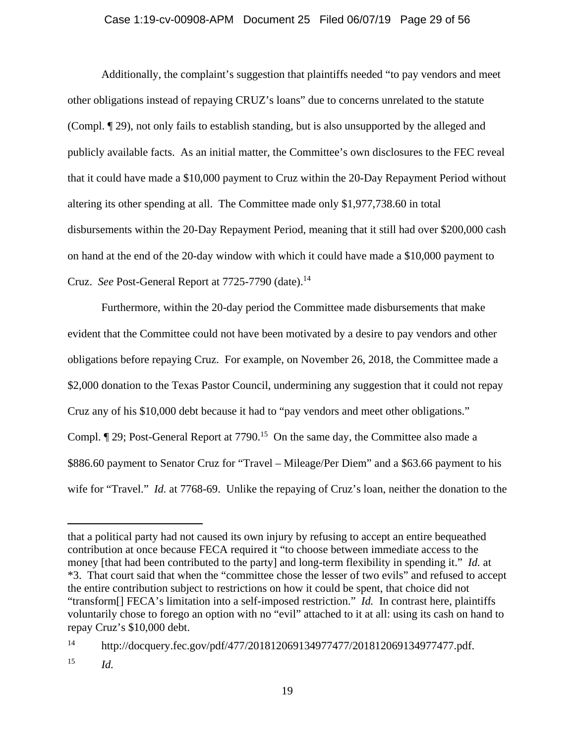### Case 1:19-cv-00908-APM Document 25 Filed 06/07/19 Page 29 of 56

Additionally, the complaint's suggestion that plaintiffs needed "to pay vendors and meet other obligations instead of repaying CRUZ's loans" due to concerns unrelated to the statute (Compl. ¶ 29), not only fails to establish standing, but is also unsupported by the alleged and publicly available facts. As an initial matter, the Committee's own disclosures to the FEC reveal that it could have made a \$10,000 payment to Cruz within the 20-Day Repayment Period without altering its other spending at all. The Committee made only \$1,977,738.60 in total disbursements within the 20-Day Repayment Period, meaning that it still had over \$200,000 cash on hand at the end of the 20-day window with which it could have made a \$10,000 payment to Cruz. *See* Post-General Report at 7725-7790 (date).<sup>14</sup>

Furthermore, within the 20-day period the Committee made disbursements that make evident that the Committee could not have been motivated by a desire to pay vendors and other obligations before repaying Cruz. For example, on November 26, 2018, the Committee made a \$2,000 donation to the Texas Pastor Council, undermining any suggestion that it could not repay Cruz any of his \$10,000 debt because it had to "pay vendors and meet other obligations." Compl.  $\P$  29; Post-General Report at 7790.<sup>15</sup> On the same day, the Committee also made a \$886.60 payment to Senator Cruz for "Travel – Mileage/Per Diem" and a \$63.66 payment to his wife for "Travel." *Id.* at 7768-69. Unlike the repaying of Cruz's loan, neither the donation to the

that a political party had not caused its own injury by refusing to accept an entire bequeathed contribution at once because FECA required it "to choose between immediate access to the money [that had been contributed to the party] and long-term flexibility in spending it." *Id.* at \*3. That court said that when the "committee chose the lesser of two evils" and refused to accept the entire contribution subject to restrictions on how it could be spent, that choice did not "transform[] FECA's limitation into a self-imposed restriction." *Id.* In contrast here, plaintiffs voluntarily chose to forego an option with no "evil" attached to it at all: using its cash on hand to repay Cruz's \$10,000 debt.

<sup>14</sup> http://docquery.fec.gov/pdf/477/201812069134977477/201812069134977477.pdf. 15 *Id.*

<sup>19</sup>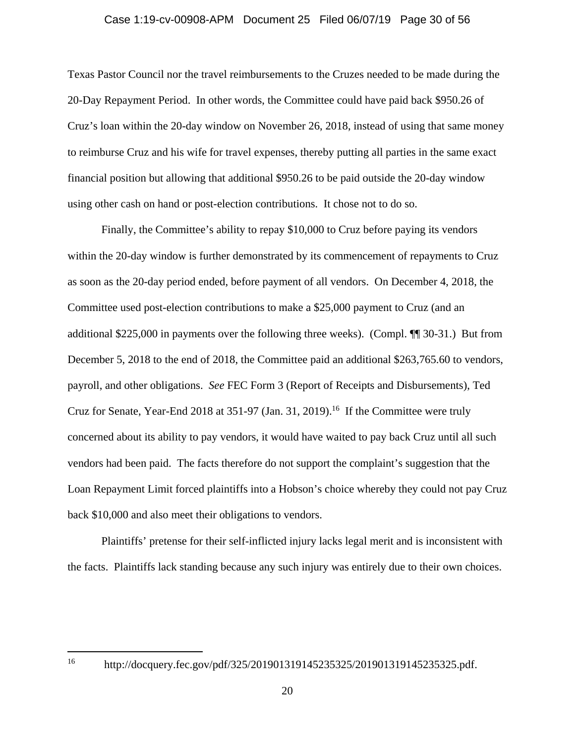### Case 1:19-cv-00908-APM Document 25 Filed 06/07/19 Page 30 of 56

Texas Pastor Council nor the travel reimbursements to the Cruzes needed to be made during the 20-Day Repayment Period. In other words, the Committee could have paid back \$950.26 of Cruz's loan within the 20-day window on November 26, 2018, instead of using that same money to reimburse Cruz and his wife for travel expenses, thereby putting all parties in the same exact financial position but allowing that additional \$950.26 to be paid outside the 20-day window using other cash on hand or post-election contributions. It chose not to do so.

Finally, the Committee's ability to repay \$10,000 to Cruz before paying its vendors within the 20-day window is further demonstrated by its commencement of repayments to Cruz as soon as the 20-day period ended, before payment of all vendors. On December 4, 2018, the Committee used post-election contributions to make a \$25,000 payment to Cruz (and an additional \$225,000 in payments over the following three weeks). (Compl. ¶¶ 30-31.) But from December 5, 2018 to the end of 2018, the Committee paid an additional \$263,765.60 to vendors, payroll, and other obligations. *See* FEC Form 3 (Report of Receipts and Disbursements), Ted Cruz for Senate, Year-End 2018 at 351-97 (Jan. 31, 2019).<sup>16</sup> If the Committee were truly concerned about its ability to pay vendors, it would have waited to pay back Cruz until all such vendors had been paid. The facts therefore do not support the complaint's suggestion that the Loan Repayment Limit forced plaintiffs into a Hobson's choice whereby they could not pay Cruz back \$10,000 and also meet their obligations to vendors.

 Plaintiffs' pretense for their self-inflicted injury lacks legal merit and is inconsistent with the facts. Plaintiffs lack standing because any such injury was entirely due to their own choices.

 $16\,$ 

http://docquery.fec.gov/pdf/325/201901319145235325/201901319145235325.pdf.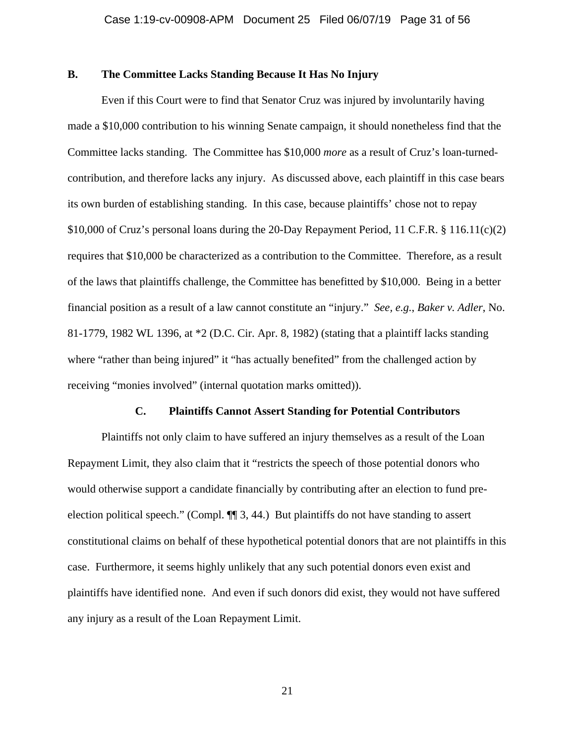### **B. The Committee Lacks Standing Because It Has No Injury**

Even if this Court were to find that Senator Cruz was injured by involuntarily having made a \$10,000 contribution to his winning Senate campaign, it should nonetheless find that the Committee lacks standing. The Committee has \$10,000 *more* as a result of Cruz's loan-turnedcontribution, and therefore lacks any injury. As discussed above, each plaintiff in this case bears its own burden of establishing standing. In this case, because plaintiffs' chose not to repay \$10,000 of Cruz's personal loans during the 20-Day Repayment Period, 11 C.F.R. § 116.11(c)(2) requires that \$10,000 be characterized as a contribution to the Committee. Therefore, as a result of the laws that plaintiffs challenge, the Committee has benefitted by \$10,000. Being in a better financial position as a result of a law cannot constitute an "injury." *See, e.g.*, *Baker v. Adler*, No. 81-1779, 1982 WL 1396, at \*2 (D.C. Cir. Apr. 8, 1982) (stating that a plaintiff lacks standing where "rather than being injured" it "has actually benefited" from the challenged action by receiving "monies involved" (internal quotation marks omitted)).

### **C. Plaintiffs Cannot Assert Standing for Potential Contributors**

Plaintiffs not only claim to have suffered an injury themselves as a result of the Loan Repayment Limit, they also claim that it "restricts the speech of those potential donors who would otherwise support a candidate financially by contributing after an election to fund preelection political speech." (Compl. ¶¶ 3, 44.) But plaintiffs do not have standing to assert constitutional claims on behalf of these hypothetical potential donors that are not plaintiffs in this case. Furthermore, it seems highly unlikely that any such potential donors even exist and plaintiffs have identified none. And even if such donors did exist, they would not have suffered any injury as a result of the Loan Repayment Limit.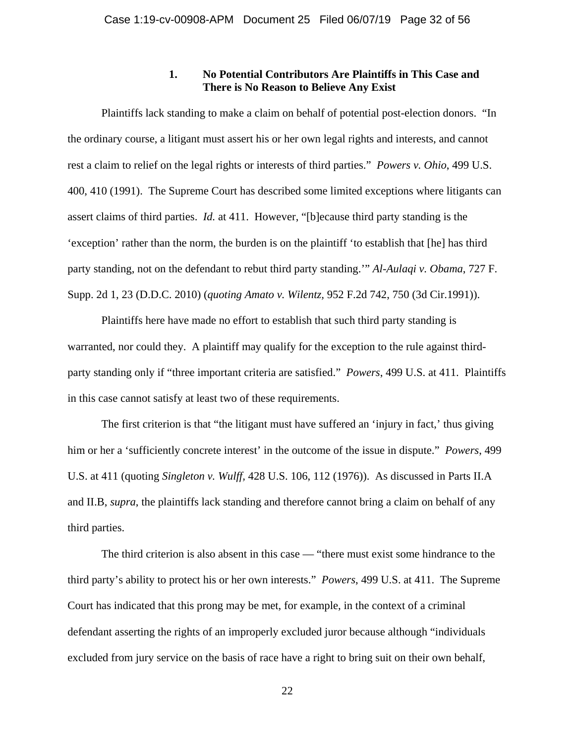### **1. No Potential Contributors Are Plaintiffs in This Case and There is No Reason to Believe Any Exist**

Plaintiffs lack standing to make a claim on behalf of potential post-election donors. "In the ordinary course, a litigant must assert his or her own legal rights and interests, and cannot rest a claim to relief on the legal rights or interests of third parties." *Powers v. Ohio*, 499 U.S. 400, 410 (1991). The Supreme Court has described some limited exceptions where litigants can assert claims of third parties. *Id.* at 411. However, "[b]ecause third party standing is the 'exception' rather than the norm, the burden is on the plaintiff 'to establish that [he] has third party standing, not on the defendant to rebut third party standing.'" *Al-Aulaqi v. Obama*, 727 F. Supp. 2d 1, 23 (D.D.C. 2010) (*quoting Amato v. Wilentz,* 952 F.2d 742, 750 (3d Cir.1991)).

Plaintiffs here have made no effort to establish that such third party standing is warranted, nor could they. A plaintiff may qualify for the exception to the rule against thirdparty standing only if "three important criteria are satisfied." *Powers*, 499 U.S. at 411. Plaintiffs in this case cannot satisfy at least two of these requirements.

The first criterion is that "the litigant must have suffered an 'injury in fact,' thus giving him or her a 'sufficiently concrete interest' in the outcome of the issue in dispute." *Powers*, 499 U.S. at 411 (quoting *Singleton v. Wulff,* 428 U.S. 106, 112 (1976)). As discussed in Parts II.A and II.B, *supra*, the plaintiffs lack standing and therefore cannot bring a claim on behalf of any third parties.

The third criterion is also absent in this case — "there must exist some hindrance to the third party's ability to protect his or her own interests." *Powers*, 499 U.S. at 411. The Supreme Court has indicated that this prong may be met, for example, in the context of a criminal defendant asserting the rights of an improperly excluded juror because although "individuals excluded from jury service on the basis of race have a right to bring suit on their own behalf,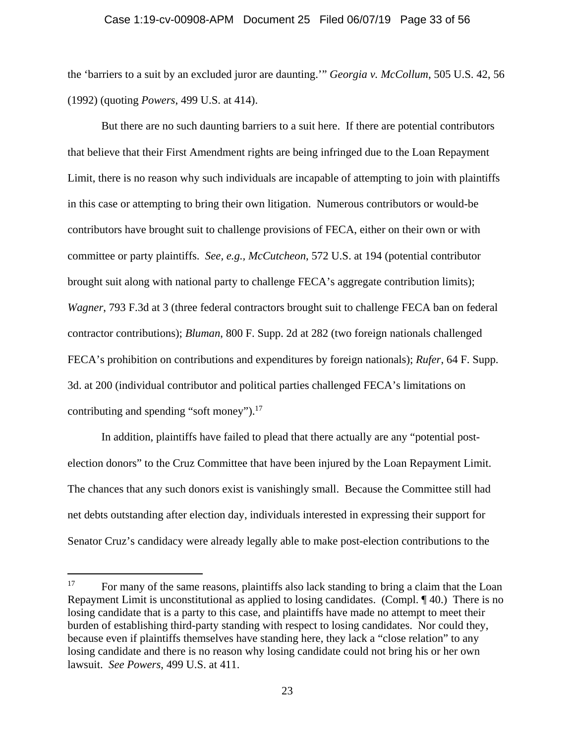#### Case 1:19-cv-00908-APM Document 25 Filed 06/07/19 Page 33 of 56

the 'barriers to a suit by an excluded juror are daunting.'" *Georgia v. McCollum*, 505 U.S. 42, 56 (1992) (quoting *Powers*, 499 U.S. at 414).

But there are no such daunting barriers to a suit here. If there are potential contributors that believe that their First Amendment rights are being infringed due to the Loan Repayment Limit, there is no reason why such individuals are incapable of attempting to join with plaintiffs in this case or attempting to bring their own litigation. Numerous contributors or would-be contributors have brought suit to challenge provisions of FECA, either on their own or with committee or party plaintiffs. *See, e.g., McCutcheon*, 572 U.S. at 194 (potential contributor brought suit along with national party to challenge FECA's aggregate contribution limits); *Wagner*, 793 F.3d at 3 (three federal contractors brought suit to challenge FECA ban on federal contractor contributions); *Bluman*, 800 F. Supp. 2d at 282 (two foreign nationals challenged FECA's prohibition on contributions and expenditures by foreign nationals); *Rufer*, 64 F. Supp. 3d. at 200 (individual contributor and political parties challenged FECA's limitations on contributing and spending "soft money").<sup>17</sup>

In addition, plaintiffs have failed to plead that there actually are any "potential postelection donors" to the Cruz Committee that have been injured by the Loan Repayment Limit. The chances that any such donors exist is vanishingly small. Because the Committee still had net debts outstanding after election day, individuals interested in expressing their support for Senator Cruz's candidacy were already legally able to make post-election contributions to the

l

<sup>&</sup>lt;sup>17</sup> For many of the same reasons, plaintiffs also lack standing to bring a claim that the Loan Repayment Limit is unconstitutional as applied to losing candidates. (Compl. ¶ 40.) There is no losing candidate that is a party to this case, and plaintiffs have made no attempt to meet their burden of establishing third-party standing with respect to losing candidates. Nor could they, because even if plaintiffs themselves have standing here, they lack a "close relation" to any losing candidate and there is no reason why losing candidate could not bring his or her own lawsuit. *See Powers*, 499 U.S. at 411.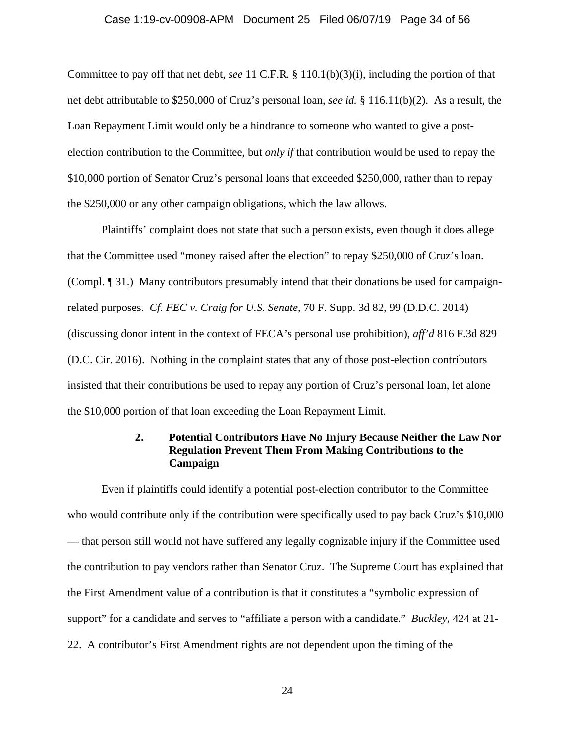#### Case 1:19-cv-00908-APM Document 25 Filed 06/07/19 Page 34 of 56

Committee to pay off that net debt, *see* 11 C.F.R. § 110.1(b)(3)(i), including the portion of that net debt attributable to \$250,000 of Cruz's personal loan, *see id.* § 116.11(b)(2). As a result, the Loan Repayment Limit would only be a hindrance to someone who wanted to give a postelection contribution to the Committee, but *only if* that contribution would be used to repay the \$10,000 portion of Senator Cruz's personal loans that exceeded \$250,000, rather than to repay the \$250,000 or any other campaign obligations, which the law allows.

Plaintiffs' complaint does not state that such a person exists, even though it does allege that the Committee used "money raised after the election" to repay \$250,000 of Cruz's loan. (Compl. ¶ 31.) Many contributors presumably intend that their donations be used for campaignrelated purposes. *Cf. FEC v. Craig for U.S. Senate*, 70 F. Supp. 3d 82, 99 (D.D.C. 2014) (discussing donor intent in the context of FECA's personal use prohibition), *aff'd* 816 F.3d 829 (D.C. Cir. 2016). Nothing in the complaint states that any of those post-election contributors insisted that their contributions be used to repay any portion of Cruz's personal loan, let alone the \$10,000 portion of that loan exceeding the Loan Repayment Limit.

# **2. Potential Contributors Have No Injury Because Neither the Law Nor Regulation Prevent Them From Making Contributions to the Campaign**

Even if plaintiffs could identify a potential post-election contributor to the Committee who would contribute only if the contribution were specifically used to pay back Cruz's \$10,000 — that person still would not have suffered any legally cognizable injury if the Committee used the contribution to pay vendors rather than Senator Cruz. The Supreme Court has explained that the First Amendment value of a contribution is that it constitutes a "symbolic expression of support" for a candidate and serves to "affiliate a person with a candidate." *Buckley*, 424 at 21- 22. A contributor's First Amendment rights are not dependent upon the timing of the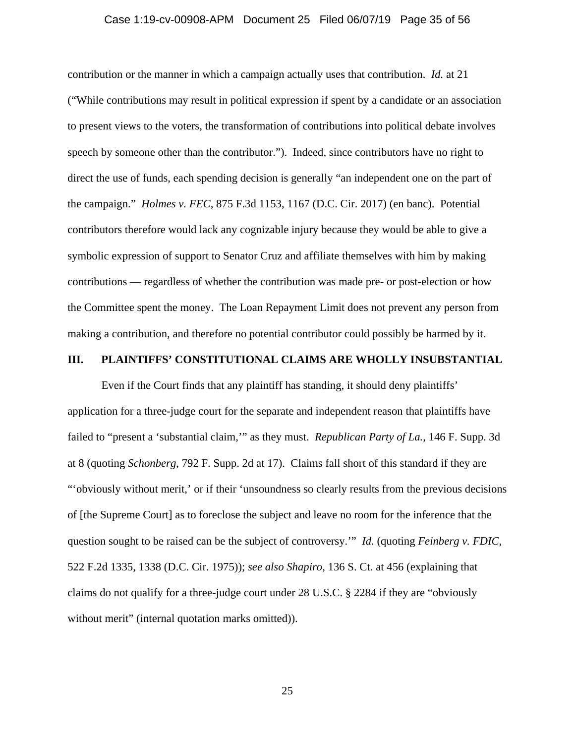### Case 1:19-cv-00908-APM Document 25 Filed 06/07/19 Page 35 of 56

contribution or the manner in which a campaign actually uses that contribution. *Id.* at 21 ("While contributions may result in political expression if spent by a candidate or an association to present views to the voters, the transformation of contributions into political debate involves speech by someone other than the contributor."). Indeed, since contributors have no right to direct the use of funds, each spending decision is generally "an independent one on the part of the campaign." *Holmes v. FEC*, 875 F.3d 1153, 1167 (D.C. Cir. 2017) (en banc). Potential contributors therefore would lack any cognizable injury because they would be able to give a symbolic expression of support to Senator Cruz and affiliate themselves with him by making contributions — regardless of whether the contribution was made pre- or post-election or how the Committee spent the money. The Loan Repayment Limit does not prevent any person from making a contribution, and therefore no potential contributor could possibly be harmed by it.

### **III. PLAINTIFFS' CONSTITUTIONAL CLAIMS ARE WHOLLY INSUBSTANTIAL**

Even if the Court finds that any plaintiff has standing, it should deny plaintiffs' application for a three-judge court for the separate and independent reason that plaintiffs have failed to "present a 'substantial claim,'" as they must. *Republican Party of La.*, 146 F. Supp. 3d at 8 (quoting *Schonberg*, 792 F. Supp. 2d at 17). Claims fall short of this standard if they are "'obviously without merit,' or if their 'unsoundness so clearly results from the previous decisions of [the Supreme Court] as to foreclose the subject and leave no room for the inference that the question sought to be raised can be the subject of controversy.'" *Id.* (quoting *Feinberg v. FDIC*, 522 F.2d 1335, 1338 (D.C. Cir. 1975)); *see also Shapiro*, 136 S. Ct. at 456 (explaining that claims do not qualify for a three-judge court under 28 U.S.C. § 2284 if they are "obviously without merit" (internal quotation marks omitted)).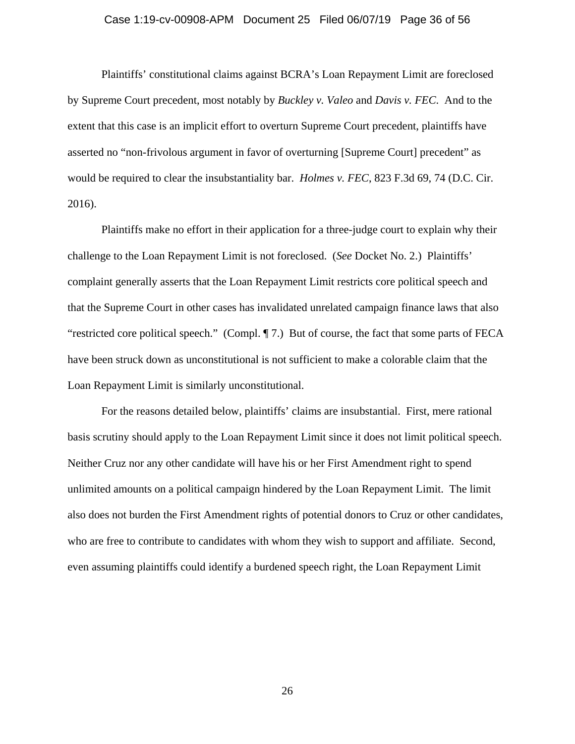### Case 1:19-cv-00908-APM Document 25 Filed 06/07/19 Page 36 of 56

Plaintiffs' constitutional claims against BCRA's Loan Repayment Limit are foreclosed by Supreme Court precedent, most notably by *Buckley v. Valeo* and *Davis v. FEC*. And to the extent that this case is an implicit effort to overturn Supreme Court precedent, plaintiffs have asserted no "non-frivolous argument in favor of overturning [Supreme Court] precedent" as would be required to clear the insubstantiality bar. *Holmes v. FEC*, 823 F.3d 69, 74 (D.C. Cir. 2016).

Plaintiffs make no effort in their application for a three-judge court to explain why their challenge to the Loan Repayment Limit is not foreclosed. (*See* Docket No. 2.) Plaintiffs' complaint generally asserts that the Loan Repayment Limit restricts core political speech and that the Supreme Court in other cases has invalidated unrelated campaign finance laws that also "restricted core political speech." (Compl. ¶ 7.) But of course, the fact that some parts of FECA have been struck down as unconstitutional is not sufficient to make a colorable claim that the Loan Repayment Limit is similarly unconstitutional.

For the reasons detailed below, plaintiffs' claims are insubstantial. First, mere rational basis scrutiny should apply to the Loan Repayment Limit since it does not limit political speech. Neither Cruz nor any other candidate will have his or her First Amendment right to spend unlimited amounts on a political campaign hindered by the Loan Repayment Limit. The limit also does not burden the First Amendment rights of potential donors to Cruz or other candidates, who are free to contribute to candidates with whom they wish to support and affiliate. Second, even assuming plaintiffs could identify a burdened speech right, the Loan Repayment Limit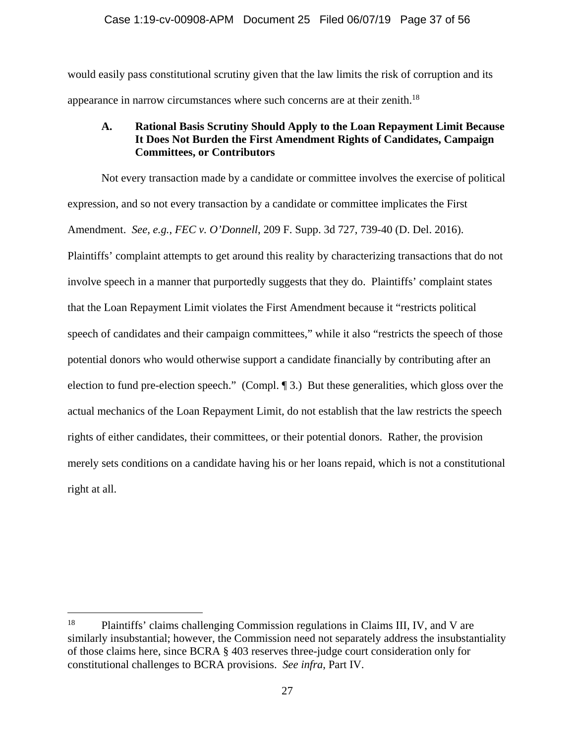would easily pass constitutional scrutiny given that the law limits the risk of corruption and its appearance in narrow circumstances where such concerns are at their zenith.18

# **A. Rational Basis Scrutiny Should Apply to the Loan Repayment Limit Because It Does Not Burden the First Amendment Rights of Candidates, Campaign Committees, or Contributors**

Not every transaction made by a candidate or committee involves the exercise of political expression, and so not every transaction by a candidate or committee implicates the First Amendment. *See, e.g.*, *FEC v. O'Donnell*, 209 F. Supp. 3d 727, 739-40 (D. Del. 2016). Plaintiffs' complaint attempts to get around this reality by characterizing transactions that do not involve speech in a manner that purportedly suggests that they do. Plaintiffs' complaint states that the Loan Repayment Limit violates the First Amendment because it "restricts political speech of candidates and their campaign committees," while it also "restricts the speech of those potential donors who would otherwise support a candidate financially by contributing after an election to fund pre-election speech." (Compl. ¶ 3.) But these generalities, which gloss over the actual mechanics of the Loan Repayment Limit, do not establish that the law restricts the speech rights of either candidates, their committees, or their potential donors. Rather, the provision merely sets conditions on a candidate having his or her loans repaid, which is not a constitutional right at all.

<sup>&</sup>lt;sup>18</sup> Plaintiffs' claims challenging Commission regulations in Claims III, IV, and V are similarly insubstantial; however, the Commission need not separately address the insubstantiality of those claims here, since BCRA § 403 reserves three-judge court consideration only for constitutional challenges to BCRA provisions. *See infra*, Part IV.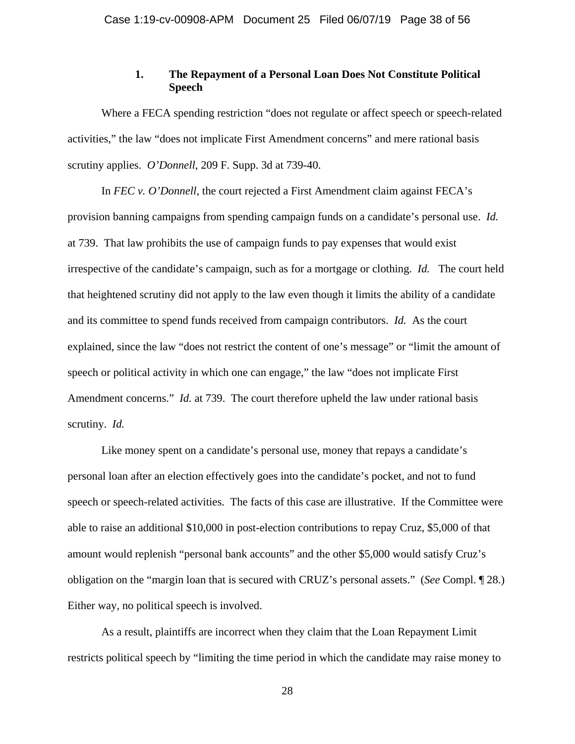### **1. The Repayment of a Personal Loan Does Not Constitute Political Speech**

Where a FECA spending restriction "does not regulate or affect speech or speech-related activities," the law "does not implicate First Amendment concerns" and mere rational basis scrutiny applies. *O'Donnell*, 209 F. Supp. 3d at 739-40.

In *FEC v. O'Donnell*, the court rejected a First Amendment claim against FECA's provision banning campaigns from spending campaign funds on a candidate's personal use. *Id.* at 739. That law prohibits the use of campaign funds to pay expenses that would exist irrespective of the candidate's campaign, such as for a mortgage or clothing. *Id.* The court held that heightened scrutiny did not apply to the law even though it limits the ability of a candidate and its committee to spend funds received from campaign contributors. *Id.* As the court explained, since the law "does not restrict the content of one's message" or "limit the amount of speech or political activity in which one can engage," the law "does not implicate First Amendment concerns." *Id.* at 739. The court therefore upheld the law under rational basis scrutiny. *Id.*

Like money spent on a candidate's personal use, money that repays a candidate's personal loan after an election effectively goes into the candidate's pocket, and not to fund speech or speech-related activities. The facts of this case are illustrative. If the Committee were able to raise an additional \$10,000 in post-election contributions to repay Cruz, \$5,000 of that amount would replenish "personal bank accounts" and the other \$5,000 would satisfy Cruz's obligation on the "margin loan that is secured with CRUZ's personal assets." (*See* Compl. ¶ 28.) Either way, no political speech is involved.

As a result, plaintiffs are incorrect when they claim that the Loan Repayment Limit restricts political speech by "limiting the time period in which the candidate may raise money to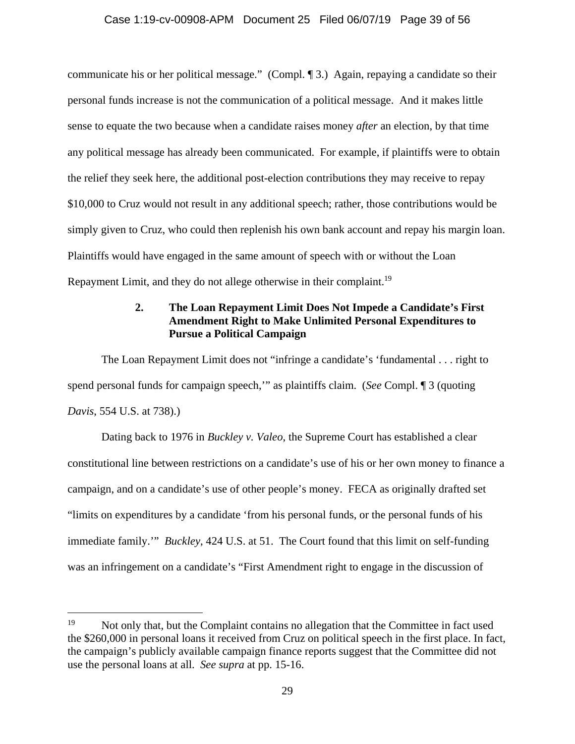### Case 1:19-cv-00908-APM Document 25 Filed 06/07/19 Page 39 of 56

communicate his or her political message." (Compl. ¶ 3.) Again, repaying a candidate so their personal funds increase is not the communication of a political message. And it makes little sense to equate the two because when a candidate raises money *after* an election, by that time any political message has already been communicated. For example, if plaintiffs were to obtain the relief they seek here, the additional post-election contributions they may receive to repay \$10,000 to Cruz would not result in any additional speech; rather, those contributions would be simply given to Cruz, who could then replenish his own bank account and repay his margin loan. Plaintiffs would have engaged in the same amount of speech with or without the Loan Repayment Limit, and they do not allege otherwise in their complaint.<sup>19</sup>

# **2. The Loan Repayment Limit Does Not Impede a Candidate's First Amendment Right to Make Unlimited Personal Expenditures to Pursue a Political Campaign**

The Loan Repayment Limit does not "infringe a candidate's 'fundamental . . . right to spend personal funds for campaign speech,'" as plaintiffs claim. (*See* Compl. ¶ 3 (quoting *Davis*, 554 U.S. at 738).)

Dating back to 1976 in *Buckley v. Valeo*, the Supreme Court has established a clear constitutional line between restrictions on a candidate's use of his or her own money to finance a campaign, and on a candidate's use of other people's money. FECA as originally drafted set "limits on expenditures by a candidate 'from his personal funds, or the personal funds of his immediate family.'" *Buckley*, 424 U.S. at 51. The Court found that this limit on self-funding was an infringement on a candidate's "First Amendment right to engage in the discussion of

<sup>&</sup>lt;sup>19</sup> Not only that, but the Complaint contains no allegation that the Committee in fact used the \$260,000 in personal loans it received from Cruz on political speech in the first place. In fact, the campaign's publicly available campaign finance reports suggest that the Committee did not use the personal loans at all. *See supra* at pp. 15-16.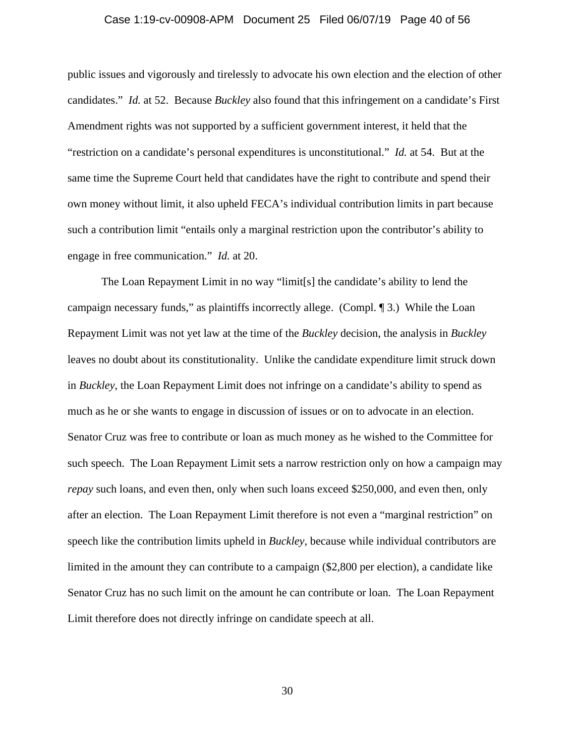### Case 1:19-cv-00908-APM Document 25 Filed 06/07/19 Page 40 of 56

public issues and vigorously and tirelessly to advocate his own election and the election of other candidates." *Id.* at 52. Because *Buckley* also found that this infringement on a candidate's First Amendment rights was not supported by a sufficient government interest, it held that the "restriction on a candidate's personal expenditures is unconstitutional." *Id.* at 54. But at the same time the Supreme Court held that candidates have the right to contribute and spend their own money without limit, it also upheld FECA's individual contribution limits in part because such a contribution limit "entails only a marginal restriction upon the contributor's ability to engage in free communication." *Id.* at 20.

The Loan Repayment Limit in no way "limit[s] the candidate's ability to lend the campaign necessary funds," as plaintiffs incorrectly allege. (Compl. ¶ 3.) While the Loan Repayment Limit was not yet law at the time of the *Buckley* decision, the analysis in *Buckley* leaves no doubt about its constitutionality. Unlike the candidate expenditure limit struck down in *Buckley*, the Loan Repayment Limit does not infringe on a candidate's ability to spend as much as he or she wants to engage in discussion of issues or on to advocate in an election. Senator Cruz was free to contribute or loan as much money as he wished to the Committee for such speech. The Loan Repayment Limit sets a narrow restriction only on how a campaign may *repay* such loans, and even then, only when such loans exceed \$250,000, and even then, only after an election. The Loan Repayment Limit therefore is not even a "marginal restriction" on speech like the contribution limits upheld in *Buckley*, because while individual contributors are limited in the amount they can contribute to a campaign (\$2,800 per election), a candidate like Senator Cruz has no such limit on the amount he can contribute or loan. The Loan Repayment Limit therefore does not directly infringe on candidate speech at all.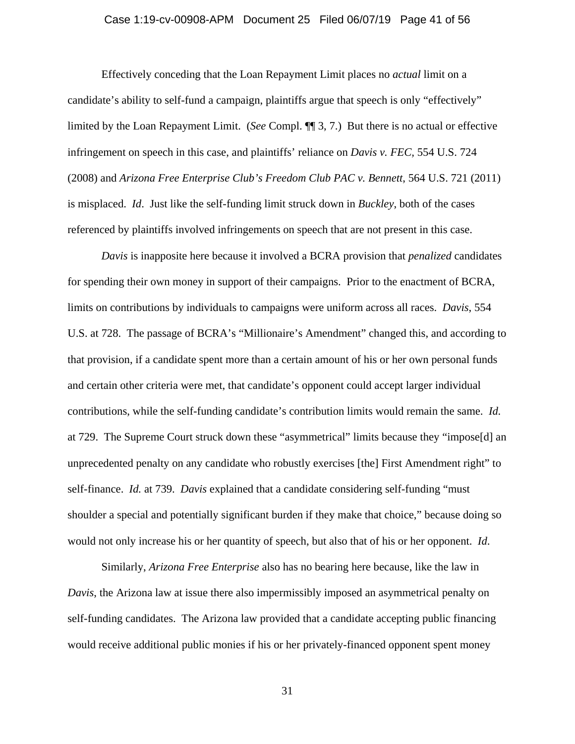### Case 1:19-cv-00908-APM Document 25 Filed 06/07/19 Page 41 of 56

Effectively conceding that the Loan Repayment Limit places no *actual* limit on a candidate's ability to self-fund a campaign, plaintiffs argue that speech is only "effectively" limited by the Loan Repayment Limit. (*See* Compl. ¶¶ 3, 7.) But there is no actual or effective infringement on speech in this case, and plaintiffs' reliance on *Davis v. FEC,* 554 U.S. 724 (2008) and *Arizona Free Enterprise Club's Freedom Club PAC v. Bennett*, 564 U.S. 721 (2011) is misplaced. *Id*. Just like the self-funding limit struck down in *Buckley*, both of the cases referenced by plaintiffs involved infringements on speech that are not present in this case.

*Davis* is inapposite here because it involved a BCRA provision that *penalized* candidates for spending their own money in support of their campaigns. Prior to the enactment of BCRA, limits on contributions by individuals to campaigns were uniform across all races. *Davis*, 554 U.S. at 728. The passage of BCRA's "Millionaire's Amendment" changed this, and according to that provision, if a candidate spent more than a certain amount of his or her own personal funds and certain other criteria were met, that candidate's opponent could accept larger individual contributions, while the self-funding candidate's contribution limits would remain the same. *Id.* at 729. The Supreme Court struck down these "asymmetrical" limits because they "impose[d] an unprecedented penalty on any candidate who robustly exercises [the] First Amendment right" to self-finance. *Id.* at 739. *Davis* explained that a candidate considering self-funding "must shoulder a special and potentially significant burden if they make that choice," because doing so would not only increase his or her quantity of speech, but also that of his or her opponent. *Id*.

Similarly, *Arizona Free Enterprise* also has no bearing here because, like the law in *Davis*, the Arizona law at issue there also impermissibly imposed an asymmetrical penalty on self-funding candidates. The Arizona law provided that a candidate accepting public financing would receive additional public monies if his or her privately-financed opponent spent money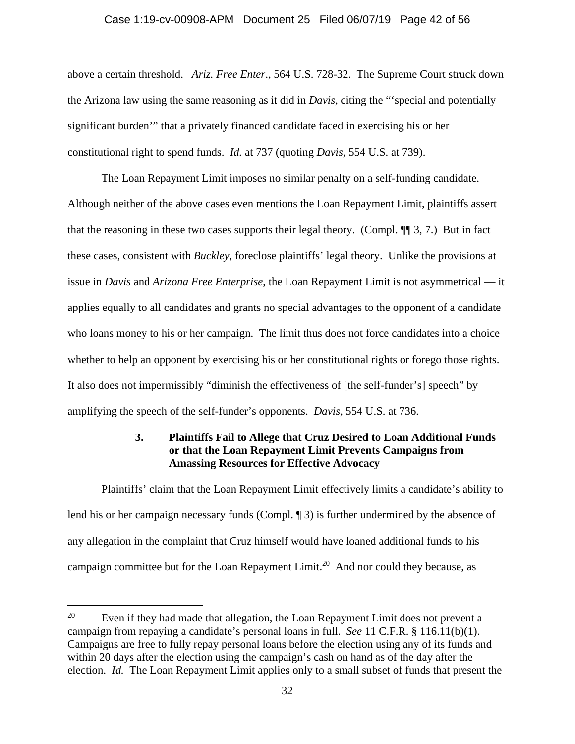### Case 1:19-cv-00908-APM Document 25 Filed 06/07/19 Page 42 of 56

above a certain threshold. *Ariz. Free Enter*., 564 U.S. 728-32. The Supreme Court struck down the Arizona law using the same reasoning as it did in *Davis*, citing the "'special and potentially significant burden'" that a privately financed candidate faced in exercising his or her constitutional right to spend funds. *Id.* at 737 (quoting *Davis*, 554 U.S. at 739).

The Loan Repayment Limit imposes no similar penalty on a self-funding candidate. Although neither of the above cases even mentions the Loan Repayment Limit, plaintiffs assert that the reasoning in these two cases supports their legal theory. (Compl. ¶¶ 3, 7.) But in fact these cases, consistent with *Buckley*, foreclose plaintiffs' legal theory. Unlike the provisions at issue in *Davis* and *Arizona Free Enterprise*, the Loan Repayment Limit is not asymmetrical — it applies equally to all candidates and grants no special advantages to the opponent of a candidate who loans money to his or her campaign. The limit thus does not force candidates into a choice whether to help an opponent by exercising his or her constitutional rights or forego those rights. It also does not impermissibly "diminish the effectiveness of [the self-funder's] speech" by amplifying the speech of the self-funder's opponents. *Davis*, 554 U.S. at 736.

# **3. Plaintiffs Fail to Allege that Cruz Desired to Loan Additional Funds or that the Loan Repayment Limit Prevents Campaigns from Amassing Resources for Effective Advocacy**

Plaintiffs' claim that the Loan Repayment Limit effectively limits a candidate's ability to lend his or her campaign necessary funds (Compl. ¶ 3) is further undermined by the absence of any allegation in the complaint that Cruz himself would have loaned additional funds to his campaign committee but for the Loan Repayment Limit.<sup>20</sup> And nor could they because, as

<sup>&</sup>lt;sup>20</sup> Even if they had made that allegation, the Loan Repayment Limit does not prevent a campaign from repaying a candidate's personal loans in full. *See* 11 C.F.R. § 116.11(b)(1). Campaigns are free to fully repay personal loans before the election using any of its funds and within 20 days after the election using the campaign's cash on hand as of the day after the election. *Id.* The Loan Repayment Limit applies only to a small subset of funds that present the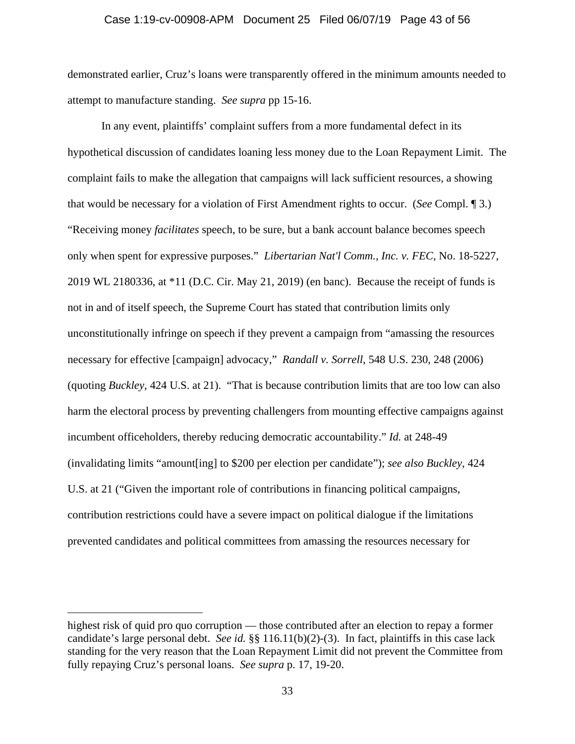### Case 1:19-cv-00908-APM Document 25 Filed 06/07/19 Page 43 of 56

demonstrated earlier, Cruz's loans were transparently offered in the minimum amounts needed to attempt to manufacture standing. *See supra* pp 15-16.

In any event, plaintiffs' complaint suffers from a more fundamental defect in its hypothetical discussion of candidates loaning less money due to the Loan Repayment Limit. The complaint fails to make the allegation that campaigns will lack sufficient resources, a showing that would be necessary for a violation of First Amendment rights to occur. (*See* Compl. ¶ 3.) "Receiving money *facilitates* speech, to be sure, but a bank account balance becomes speech only when spent for expressive purposes." *Libertarian Nat'l Comm., Inc. v. FEC*, No. 18-5227, 2019 WL 2180336, at \*11 (D.C. Cir. May 21, 2019) (en banc). Because the receipt of funds is not in and of itself speech, the Supreme Court has stated that contribution limits only unconstitutionally infringe on speech if they prevent a campaign from "amassing the resources necessary for effective [campaign] advocacy," *Randall v. Sorrell*, 548 U.S. 230, 248 (2006) (quoting *Buckley*, 424 U.S. at 21). "That is because contribution limits that are too low can also harm the electoral process by preventing challengers from mounting effective campaigns against incumbent officeholders, thereby reducing democratic accountability." *Id.* at 248-49 (invalidating limits "amount[ing] to \$200 per election per candidate"); *see also Buckley*, 424 U.S. at 21 ("Given the important role of contributions in financing political campaigns, contribution restrictions could have a severe impact on political dialogue if the limitations prevented candidates and political committees from amassing the resources necessary for

highest risk of quid pro quo corruption — those contributed after an election to repay a former candidate's large personal debt. *See id.* §§ 116.11(b)(2)-(3). In fact, plaintiffs in this case lack standing for the very reason that the Loan Repayment Limit did not prevent the Committee from fully repaying Cruz's personal loans. *See supra* p. 17, 19-20.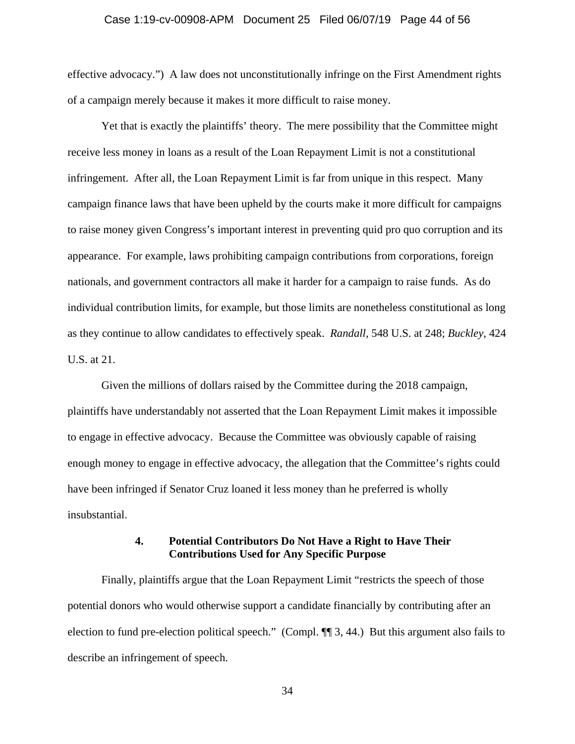### Case 1:19-cv-00908-APM Document 25 Filed 06/07/19 Page 44 of 56

effective advocacy.") A law does not unconstitutionally infringe on the First Amendment rights of a campaign merely because it makes it more difficult to raise money.

Yet that is exactly the plaintiffs' theory. The mere possibility that the Committee might receive less money in loans as a result of the Loan Repayment Limit is not a constitutional infringement. After all, the Loan Repayment Limit is far from unique in this respect. Many campaign finance laws that have been upheld by the courts make it more difficult for campaigns to raise money given Congress's important interest in preventing quid pro quo corruption and its appearance. For example, laws prohibiting campaign contributions from corporations, foreign nationals, and government contractors all make it harder for a campaign to raise funds. As do individual contribution limits, for example, but those limits are nonetheless constitutional as long as they continue to allow candidates to effectively speak. *Randall,* 548 U.S. at 248; *Buckley*, 424 U.S. at 21.

Given the millions of dollars raised by the Committee during the 2018 campaign, plaintiffs have understandably not asserted that the Loan Repayment Limit makes it impossible to engage in effective advocacy. Because the Committee was obviously capable of raising enough money to engage in effective advocacy, the allegation that the Committee's rights could have been infringed if Senator Cruz loaned it less money than he preferred is wholly insubstantial.

### **4. Potential Contributors Do Not Have a Right to Have Their Contributions Used for Any Specific Purpose**

Finally, plaintiffs argue that the Loan Repayment Limit "restricts the speech of those potential donors who would otherwise support a candidate financially by contributing after an election to fund pre-election political speech." (Compl. ¶¶ 3, 44.) But this argument also fails to describe an infringement of speech.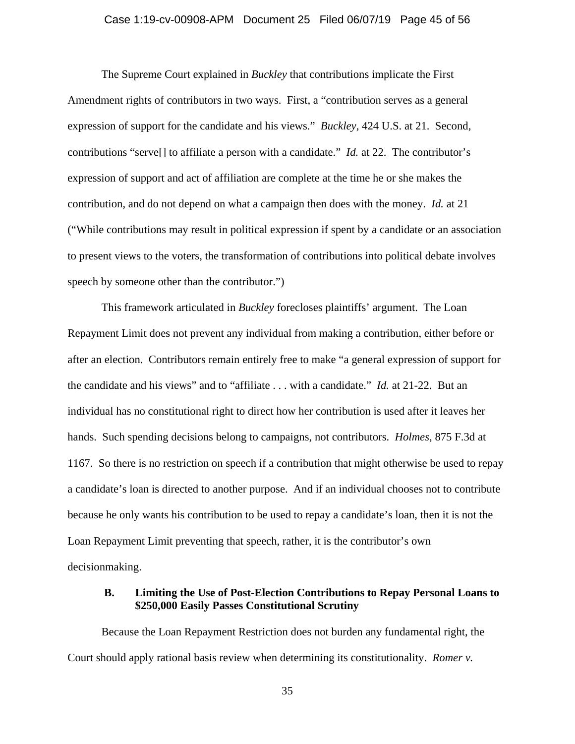### Case 1:19-cv-00908-APM Document 25 Filed 06/07/19 Page 45 of 56

The Supreme Court explained in *Buckley* that contributions implicate the First Amendment rights of contributors in two ways. First, a "contribution serves as a general expression of support for the candidate and his views." *Buckley*, 424 U.S. at 21. Second, contributions "serve[] to affiliate a person with a candidate." *Id.* at 22. The contributor's expression of support and act of affiliation are complete at the time he or she makes the contribution, and do not depend on what a campaign then does with the money. *Id.* at 21 ("While contributions may result in political expression if spent by a candidate or an association to present views to the voters, the transformation of contributions into political debate involves speech by someone other than the contributor.")

This framework articulated in *Buckley* forecloses plaintiffs' argument. The Loan Repayment Limit does not prevent any individual from making a contribution, either before or after an election. Contributors remain entirely free to make "a general expression of support for the candidate and his views" and to "affiliate . . . with a candidate." *Id.* at 21-22. But an individual has no constitutional right to direct how her contribution is used after it leaves her hands. Such spending decisions belong to campaigns, not contributors. *Holmes*, 875 F.3d at 1167. So there is no restriction on speech if a contribution that might otherwise be used to repay a candidate's loan is directed to another purpose. And if an individual chooses not to contribute because he only wants his contribution to be used to repay a candidate's loan, then it is not the Loan Repayment Limit preventing that speech, rather, it is the contributor's own decisionmaking.

### **B. Limiting the Use of Post-Election Contributions to Repay Personal Loans to \$250,000 Easily Passes Constitutional Scrutiny**

Because the Loan Repayment Restriction does not burden any fundamental right, the Court should apply rational basis review when determining its constitutionality. *Romer v.*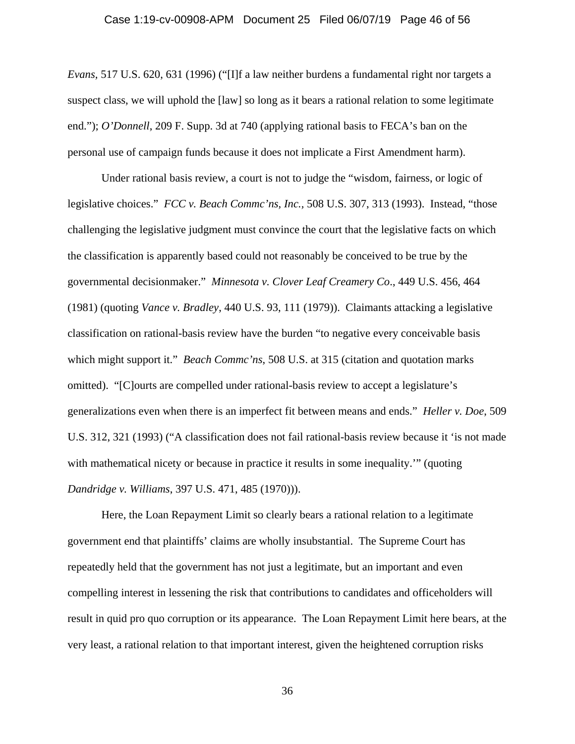### Case 1:19-cv-00908-APM Document 25 Filed 06/07/19 Page 46 of 56

*Evans,* 517 U.S. 620, 631 (1996) ("[I]f a law neither burdens a fundamental right nor targets a suspect class, we will uphold the [law] so long as it bears a rational relation to some legitimate end."); *O'Donnell*, 209 F. Supp. 3d at 740 (applying rational basis to FECA's ban on the personal use of campaign funds because it does not implicate a First Amendment harm).

Under rational basis review, a court is not to judge the "wisdom, fairness, or logic of legislative choices." *FCC v. Beach Commc'ns, Inc.,* 508 U.S. 307, 313 (1993). Instead, "those challenging the legislative judgment must convince the court that the legislative facts on which the classification is apparently based could not reasonably be conceived to be true by the governmental decisionmaker." *Minnesota v. Clover Leaf Creamery Co*., 449 U.S. 456, 464 (1981) (quoting *Vance v. Bradley*, 440 U.S. 93, 111 (1979)). Claimants attacking a legislative classification on rational-basis review have the burden "to negative every conceivable basis which might support it." *Beach Commc'ns*, 508 U.S. at 315 (citation and quotation marks omitted). "[C]ourts are compelled under rational-basis review to accept a legislature's generalizations even when there is an imperfect fit between means and ends." *Heller v. Doe*, 509 U.S. 312, 321 (1993) ("A classification does not fail rational-basis review because it 'is not made with mathematical nicety or because in practice it results in some inequality.'" (quoting *Dandridge v. Williams*, 397 U.S. 471, 485 (1970))).

 Here, the Loan Repayment Limit so clearly bears a rational relation to a legitimate government end that plaintiffs' claims are wholly insubstantial. The Supreme Court has repeatedly held that the government has not just a legitimate, but an important and even compelling interest in lessening the risk that contributions to candidates and officeholders will result in quid pro quo corruption or its appearance. The Loan Repayment Limit here bears, at the very least, a rational relation to that important interest, given the heightened corruption risks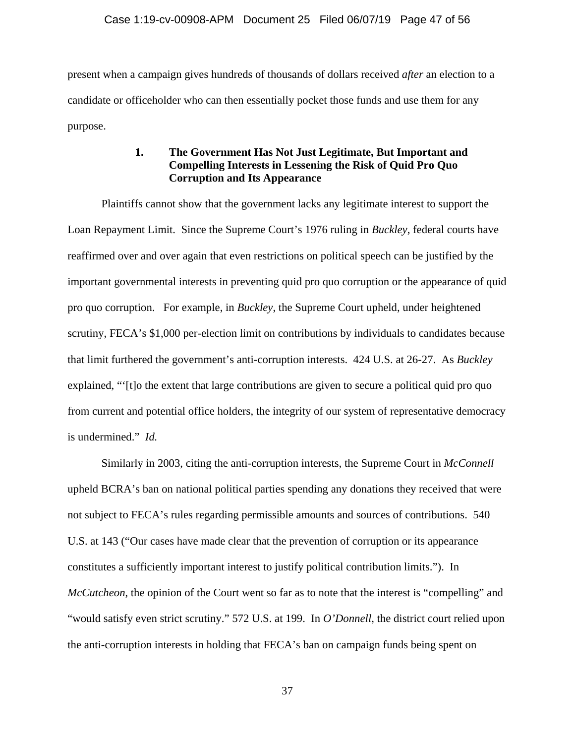present when a campaign gives hundreds of thousands of dollars received *after* an election to a candidate or officeholder who can then essentially pocket those funds and use them for any purpose.

# **1. The Government Has Not Just Legitimate, But Important and Compelling Interests in Lessening the Risk of Quid Pro Quo Corruption and Its Appearance**

Plaintiffs cannot show that the government lacks any legitimate interest to support the Loan Repayment Limit. Since the Supreme Court's 1976 ruling in *Buckley*, federal courts have reaffirmed over and over again that even restrictions on political speech can be justified by the important governmental interests in preventing quid pro quo corruption or the appearance of quid pro quo corruption. For example, in *Buckley*, the Supreme Court upheld, under heightened scrutiny, FECA's \$1,000 per-election limit on contributions by individuals to candidates because that limit furthered the government's anti-corruption interests. 424 U.S. at 26-27. As *Buckley* explained, "'[t]o the extent that large contributions are given to secure a political quid pro quo from current and potential office holders, the integrity of our system of representative democracy is undermined." *Id.*

Similarly in 2003, citing the anti-corruption interests, the Supreme Court in *McConnell* upheld BCRA's ban on national political parties spending any donations they received that were not subject to FECA's rules regarding permissible amounts and sources of contributions. 540 U.S. at 143 ("Our cases have made clear that the prevention of corruption or its appearance constitutes a sufficiently important interest to justify political contribution limits."). In *McCutcheon*, the opinion of the Court went so far as to note that the interest is "compelling" and "would satisfy even strict scrutiny." 572 U.S. at 199. In *O'Donnell*, the district court relied upon the anti-corruption interests in holding that FECA's ban on campaign funds being spent on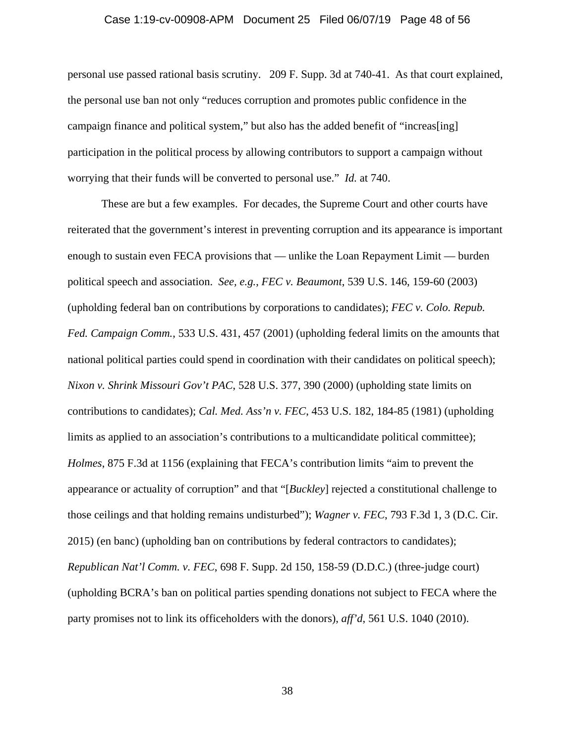#### Case 1:19-cv-00908-APM Document 25 Filed 06/07/19 Page 48 of 56

personal use passed rational basis scrutiny. 209 F. Supp. 3d at 740-41. As that court explained, the personal use ban not only "reduces corruption and promotes public confidence in the campaign finance and political system," but also has the added benefit of "increas[ing] participation in the political process by allowing contributors to support a campaign without worrying that their funds will be converted to personal use." *Id.* at 740.

These are but a few examples. For decades, the Supreme Court and other courts have reiterated that the government's interest in preventing corruption and its appearance is important enough to sustain even FECA provisions that — unlike the Loan Repayment Limit — burden political speech and association. *See, e.g.*, *FEC v. Beaumont*, 539 U.S. 146, 159-60 (2003) (upholding federal ban on contributions by corporations to candidates); *FEC v. Colo. Repub. Fed. Campaign Comm.*, 533 U.S. 431, 457 (2001) (upholding federal limits on the amounts that national political parties could spend in coordination with their candidates on political speech); *Nixon v. Shrink Missouri Gov't PAC*, 528 U.S. 377, 390 (2000) (upholding state limits on contributions to candidates); *Cal. Med. Ass'n v. FEC*, 453 U.S. 182, 184-85 (1981) (upholding limits as applied to an association's contributions to a multicandidate political committee); *Holmes*, 875 F.3d at 1156 (explaining that FECA's contribution limits "aim to prevent the appearance or actuality of corruption" and that "[*Buckley*] rejected a constitutional challenge to those ceilings and that holding remains undisturbed"); *Wagner v. FEC*, 793 F.3d 1, 3 (D.C. Cir. 2015) (en banc) (upholding ban on contributions by federal contractors to candidates); *Republican Nat'l Comm. v. FEC*, 698 F. Supp. 2d 150, 158-59 (D.D.C.) (three-judge court) (upholding BCRA's ban on political parties spending donations not subject to FECA where the party promises not to link its officeholders with the donors), *aff'd*, 561 U.S. 1040 (2010).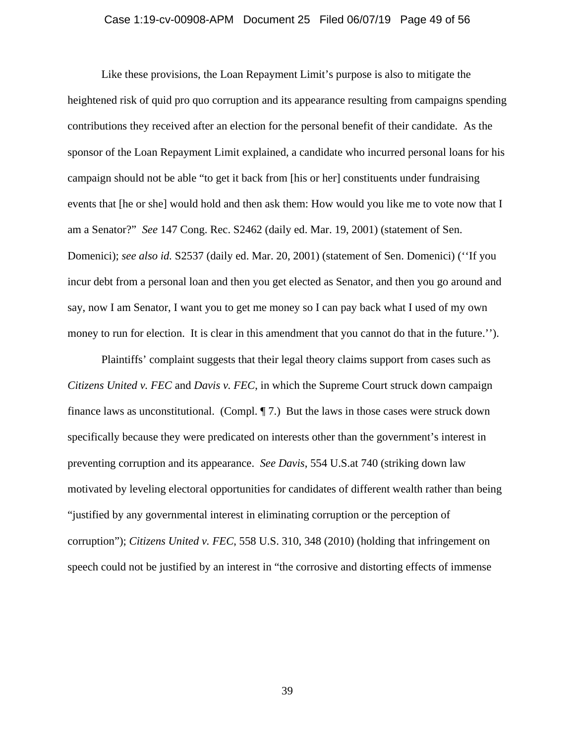### Case 1:19-cv-00908-APM Document 25 Filed 06/07/19 Page 49 of 56

Like these provisions, the Loan Repayment Limit's purpose is also to mitigate the heightened risk of quid pro quo corruption and its appearance resulting from campaigns spending contributions they received after an election for the personal benefit of their candidate. As the sponsor of the Loan Repayment Limit explained, a candidate who incurred personal loans for his campaign should not be able "to get it back from [his or her] constituents under fundraising events that [he or she] would hold and then ask them: How would you like me to vote now that I am a Senator?" *See* 147 Cong. Rec. S2462 (daily ed. Mar. 19, 2001) (statement of Sen. Domenici); *see also id.* S2537 (daily ed. Mar. 20, 2001) (statement of Sen. Domenici) (''If you incur debt from a personal loan and then you get elected as Senator, and then you go around and say, now I am Senator, I want you to get me money so I can pay back what I used of my own money to run for election. It is clear in this amendment that you cannot do that in the future.'').

Plaintiffs' complaint suggests that their legal theory claims support from cases such as *Citizens United v. FEC* and *Davis v. FEC*, in which the Supreme Court struck down campaign finance laws as unconstitutional. (Compl. ¶ 7.) But the laws in those cases were struck down specifically because they were predicated on interests other than the government's interest in preventing corruption and its appearance. *See Davis*, 554 U.S.at 740 (striking down law motivated by leveling electoral opportunities for candidates of different wealth rather than being "justified by any governmental interest in eliminating corruption or the perception of corruption"); *Citizens United v. FEC*, 558 U.S. 310, 348 (2010) (holding that infringement on speech could not be justified by an interest in "the corrosive and distorting effects of immense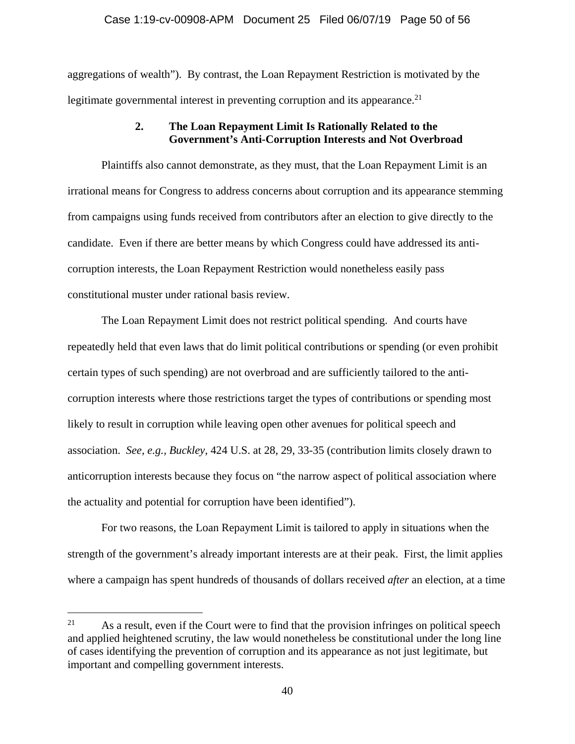aggregations of wealth"). By contrast, the Loan Repayment Restriction is motivated by the legitimate governmental interest in preventing corruption and its appearance.<sup>21</sup>

# **2. The Loan Repayment Limit Is Rationally Related to the Government's Anti-Corruption Interests and Not Overbroad**

Plaintiffs also cannot demonstrate, as they must, that the Loan Repayment Limit is an irrational means for Congress to address concerns about corruption and its appearance stemming from campaigns using funds received from contributors after an election to give directly to the candidate. Even if there are better means by which Congress could have addressed its anticorruption interests, the Loan Repayment Restriction would nonetheless easily pass constitutional muster under rational basis review.

The Loan Repayment Limit does not restrict political spending. And courts have repeatedly held that even laws that do limit political contributions or spending (or even prohibit certain types of such spending) are not overbroad and are sufficiently tailored to the anticorruption interests where those restrictions target the types of contributions or spending most likely to result in corruption while leaving open other avenues for political speech and association. *See, e.g., Buckley*, 424 U.S. at 28, 29, 33-35 (contribution limits closely drawn to anticorruption interests because they focus on "the narrow aspect of political association where the actuality and potential for corruption have been identified").

For two reasons, the Loan Repayment Limit is tailored to apply in situations when the strength of the government's already important interests are at their peak. First, the limit applies where a campaign has spent hundreds of thousands of dollars received *after* an election, at a time

 $21$  As a result, even if the Court were to find that the provision infringes on political speech and applied heightened scrutiny, the law would nonetheless be constitutional under the long line of cases identifying the prevention of corruption and its appearance as not just legitimate, but important and compelling government interests.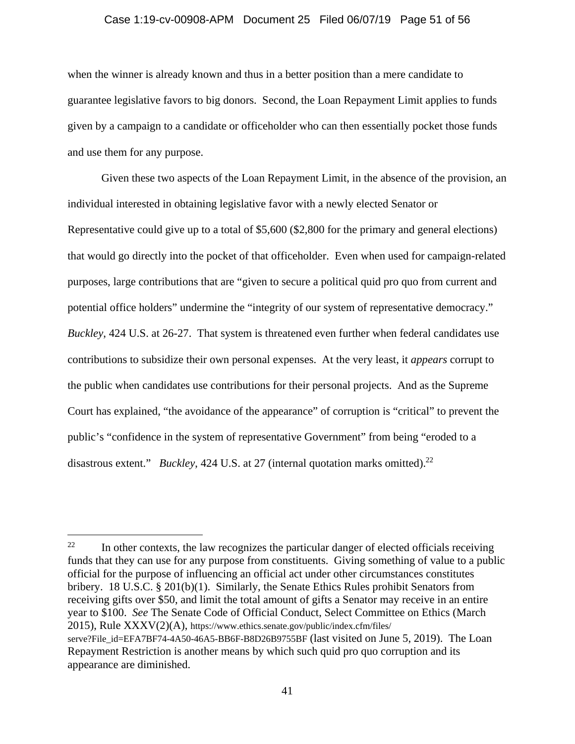#### Case 1:19-cv-00908-APM Document 25 Filed 06/07/19 Page 51 of 56

when the winner is already known and thus in a better position than a mere candidate to guarantee legislative favors to big donors. Second, the Loan Repayment Limit applies to funds given by a campaign to a candidate or officeholder who can then essentially pocket those funds and use them for any purpose.

Given these two aspects of the Loan Repayment Limit, in the absence of the provision, an individual interested in obtaining legislative favor with a newly elected Senator or Representative could give up to a total of \$5,600 (\$2,800 for the primary and general elections) that would go directly into the pocket of that officeholder. Even when used for campaign-related purposes, large contributions that are "given to secure a political quid pro quo from current and potential office holders" undermine the "integrity of our system of representative democracy." *Buckley*, 424 U.S. at 26-27. That system is threatened even further when federal candidates use contributions to subsidize their own personal expenses. At the very least, it *appears* corrupt to the public when candidates use contributions for their personal projects. And as the Supreme Court has explained, "the avoidance of the appearance" of corruption is "critical" to prevent the public's "confidence in the system of representative Government" from being "eroded to a disastrous extent." *Buckley*, 424 U.S. at 27 (internal quotation marks omitted).<sup>22</sup>

 $22$  In other contexts, the law recognizes the particular danger of elected officials receiving funds that they can use for any purpose from constituents. Giving something of value to a public official for the purpose of influencing an official act under other circumstances constitutes bribery. 18 U.S.C. § 201(b)(1). Similarly, the Senate Ethics Rules prohibit Senators from receiving gifts over \$50, and limit the total amount of gifts a Senator may receive in an entire year to \$100. *See* The Senate Code of Official Conduct, Select Committee on Ethics (March 2015), Rule XXXV(2)(A), https://www.ethics.senate.gov/public/index.cfm/files/ serve?File\_id=EFA7BF74-4A50-46A5-BB6F-B8D26B9755BF (last visited on June 5, 2019). The Loan Repayment Restriction is another means by which such quid pro quo corruption and its appearance are diminished.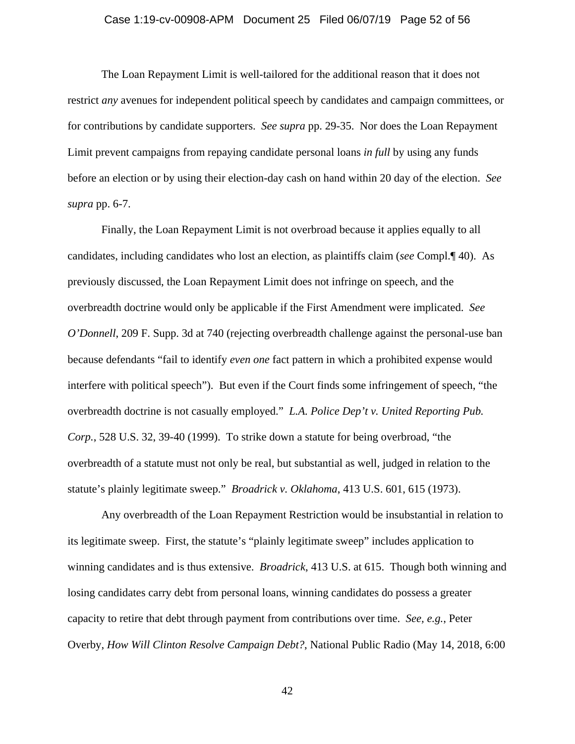### Case 1:19-cv-00908-APM Document 25 Filed 06/07/19 Page 52 of 56

 The Loan Repayment Limit is well-tailored for the additional reason that it does not restrict *any* avenues for independent political speech by candidates and campaign committees, or for contributions by candidate supporters. *See supra* pp. 29-35. Nor does the Loan Repayment Limit prevent campaigns from repaying candidate personal loans *in full* by using any funds before an election or by using their election-day cash on hand within 20 day of the election. *See supra* pp. 6-7.

 Finally, the Loan Repayment Limit is not overbroad because it applies equally to all candidates, including candidates who lost an election, as plaintiffs claim (*see* Compl.¶ 40). As previously discussed, the Loan Repayment Limit does not infringe on speech, and the overbreadth doctrine would only be applicable if the First Amendment were implicated. *See O'Donnell*, 209 F. Supp. 3d at 740 (rejecting overbreadth challenge against the personal-use ban because defendants "fail to identify *even one* fact pattern in which a prohibited expense would interfere with political speech"). But even if the Court finds some infringement of speech, "the overbreadth doctrine is not casually employed." *L.A. Police Dep't v. United Reporting Pub. Corp.*, 528 U.S. 32, 39-40 (1999). To strike down a statute for being overbroad, "the overbreadth of a statute must not only be real, but substantial as well, judged in relation to the statute's plainly legitimate sweep." *Broadrick v. Oklahoma*, 413 U.S. 601, 615 (1973).

Any overbreadth of the Loan Repayment Restriction would be insubstantial in relation to its legitimate sweep. First, the statute's "plainly legitimate sweep" includes application to winning candidates and is thus extensive. *Broadrick*, 413 U.S. at 615. Though both winning and losing candidates carry debt from personal loans, winning candidates do possess a greater capacity to retire that debt through payment from contributions over time. *See, e.g.*, Peter Overby, *How Will Clinton Resolve Campaign Debt?*, National Public Radio (May 14, 2018, 6:00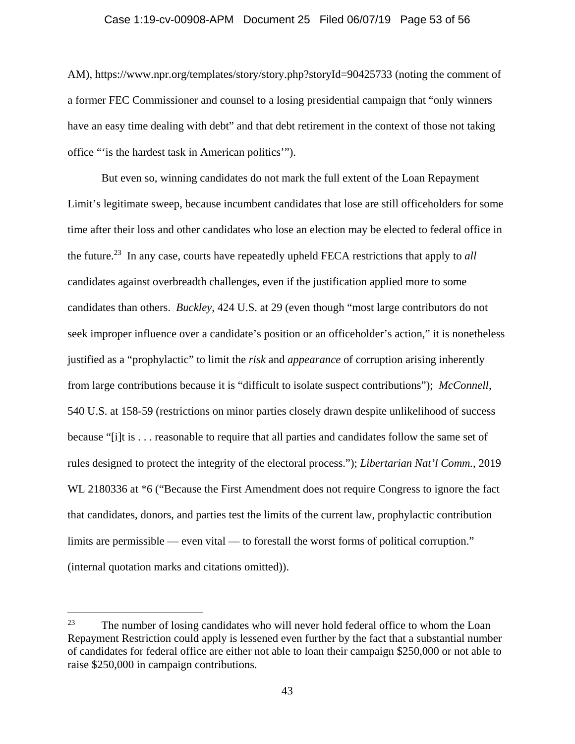### Case 1:19-cv-00908-APM Document 25 Filed 06/07/19 Page 53 of 56

AM), https://www.npr.org/templates/story/story.php?storyId=90425733 (noting the comment of a former FEC Commissioner and counsel to a losing presidential campaign that "only winners have an easy time dealing with debt" and that debt retirement in the context of those not taking office "'is the hardest task in American politics'").

But even so, winning candidates do not mark the full extent of the Loan Repayment Limit's legitimate sweep, because incumbent candidates that lose are still officeholders for some time after their loss and other candidates who lose an election may be elected to federal office in the future.23 In any case, courts have repeatedly upheld FECA restrictions that apply to *all*  candidates against overbreadth challenges, even if the justification applied more to some candidates than others. *Buckley*, 424 U.S. at 29 (even though "most large contributors do not seek improper influence over a candidate's position or an officeholder's action," it is nonetheless justified as a "prophylactic" to limit the *risk* and *appearance* of corruption arising inherently from large contributions because it is "difficult to isolate suspect contributions"); *McConnell*, 540 U.S. at 158-59 (restrictions on minor parties closely drawn despite unlikelihood of success because "[i]t is . . . reasonable to require that all parties and candidates follow the same set of rules designed to protect the integrity of the electoral process."); *Libertarian Nat'l Comm.*, 2019 WL 2180336 at \*6 ("Because the First Amendment does not require Congress to ignore the fact that candidates, donors, and parties test the limits of the current law, prophylactic contribution limits are permissible — even vital — to forestall the worst forms of political corruption." (internal quotation marks and citations omitted)).

 $23$  The number of losing candidates who will never hold federal office to whom the Loan Repayment Restriction could apply is lessened even further by the fact that a substantial number of candidates for federal office are either not able to loan their campaign \$250,000 or not able to raise \$250,000 in campaign contributions.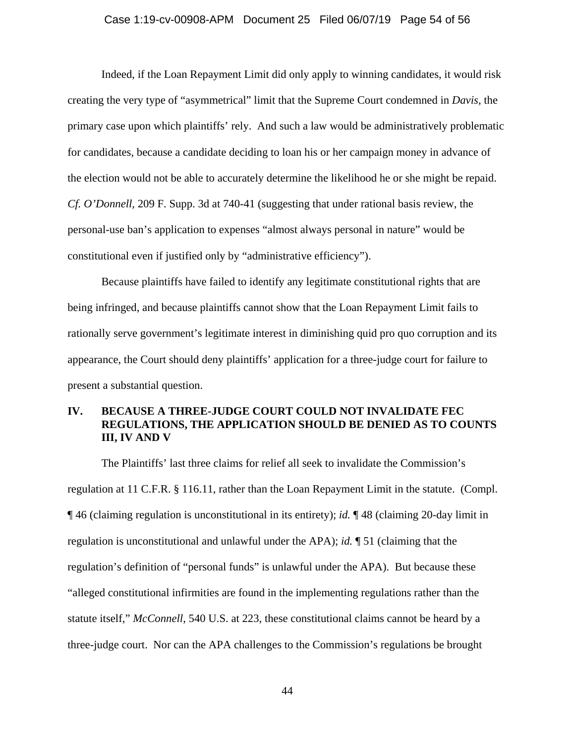### Case 1:19-cv-00908-APM Document 25 Filed 06/07/19 Page 54 of 56

Indeed, if the Loan Repayment Limit did only apply to winning candidates, it would risk creating the very type of "asymmetrical" limit that the Supreme Court condemned in *Davis*, the primary case upon which plaintiffs' rely. And such a law would be administratively problematic for candidates, because a candidate deciding to loan his or her campaign money in advance of the election would not be able to accurately determine the likelihood he or she might be repaid. *Cf. O'Donnell*, 209 F. Supp. 3d at 740-41 (suggesting that under rational basis review, the personal-use ban's application to expenses "almost always personal in nature" would be constitutional even if justified only by "administrative efficiency").

Because plaintiffs have failed to identify any legitimate constitutional rights that are being infringed, and because plaintiffs cannot show that the Loan Repayment Limit fails to rationally serve government's legitimate interest in diminishing quid pro quo corruption and its appearance, the Court should deny plaintiffs' application for a three-judge court for failure to present a substantial question.

# **IV. BECAUSE A THREE-JUDGE COURT COULD NOT INVALIDATE FEC REGULATIONS, THE APPLICATION SHOULD BE DENIED AS TO COUNTS III, IV AND V**

The Plaintiffs' last three claims for relief all seek to invalidate the Commission's regulation at 11 C.F.R. § 116.11, rather than the Loan Repayment Limit in the statute. (Compl. ¶ 46 (claiming regulation is unconstitutional in its entirety); *id.* ¶ 48 (claiming 20-day limit in regulation is unconstitutional and unlawful under the APA); *id.* ¶ 51 (claiming that the regulation's definition of "personal funds" is unlawful under the APA).But because these "alleged constitutional infirmities are found in the implementing regulations rather than the statute itself," *McConnell*, 540 U.S. at 223, these constitutional claims cannot be heard by a three-judge court. Nor can the APA challenges to the Commission's regulations be brought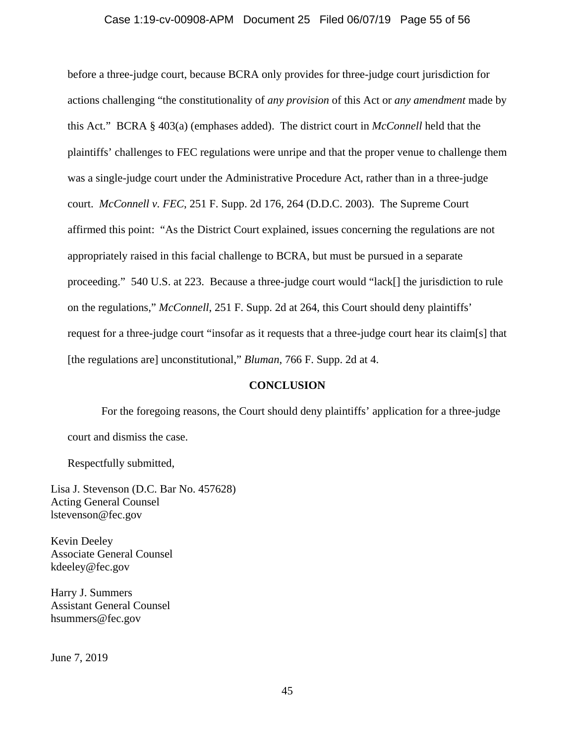### Case 1:19-cv-00908-APM Document 25 Filed 06/07/19 Page 55 of 56

before a three-judge court, because BCRA only provides for three-judge court jurisdiction for actions challenging "the constitutionality of *any provision* of this Act or *any amendment* made by this Act." BCRA § 403(a) (emphases added). The district court in *McConnell* held that the plaintiffs' challenges to FEC regulations were unripe and that the proper venue to challenge them was a single-judge court under the Administrative Procedure Act, rather than in a three-judge court. *McConnell v. FEC*, 251 F. Supp. 2d 176, 264 (D.D.C. 2003). The Supreme Court affirmed this point: "As the District Court explained, issues concerning the regulations are not appropriately raised in this facial challenge to BCRA, but must be pursued in a separate proceeding." 540 U.S. at 223. Because a three-judge court would "lack[] the jurisdiction to rule on the regulations," *McConnell*, 251 F. Supp. 2d at 264, this Court should deny plaintiffs' request for a three-judge court "insofar as it requests that a three-judge court hear its claim[s] that [the regulations are] unconstitutional," *Bluman*, 766 F. Supp. 2d at 4.

### **CONCLUSION**

For the foregoing reasons, the Court should deny plaintiffs' application for a three-judge court and dismiss the case.

Respectfully submitted,

Lisa J. Stevenson (D.C. Bar No. 457628) Acting General Counsel lstevenson@fec.gov

Kevin Deeley Associate General Counsel kdeeley@fec.gov

Harry J. Summers Assistant General Counsel hsummers@fec.gov

June 7, 2019